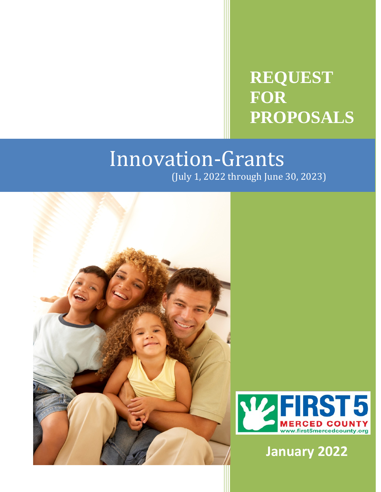# **REQUEST FOR PROPOSALS**

## (July 1, 2022 through June 30, 2023) Innovation-Grants





**January 2022**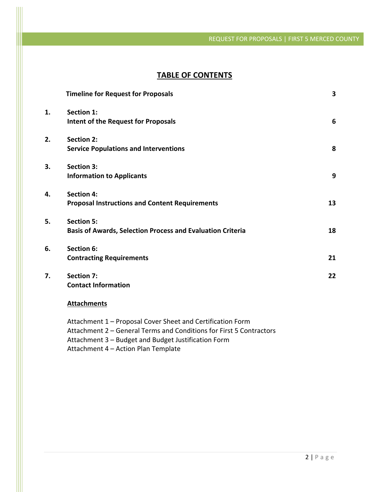### **TABLE OF CONTENTS**

|    | <b>Timeline for Request for Proposals</b>                                              | $\overline{\mathbf{3}}$ |
|----|----------------------------------------------------------------------------------------|-------------------------|
| 1. | <b>Section 1:</b><br>Intent of the Request for Proposals                               | 6                       |
| 2. | <b>Section 2:</b><br><b>Service Populations and Interventions</b>                      | 8                       |
| 3. | <b>Section 3:</b><br><b>Information to Applicants</b>                                  | 9                       |
| 4. | <b>Section 4:</b><br><b>Proposal Instructions and Content Requirements</b>             | 13                      |
| 5. | <b>Section 5:</b><br><b>Basis of Awards, Selection Process and Evaluation Criteria</b> | 18                      |
| 6. | Section 6:<br><b>Contracting Requirements</b>                                          | 21                      |
| 7. | <b>Section 7:</b><br><b>Contact Information</b>                                        | 22                      |

### **Attachments**

Attachment 1 – Proposal Cover Sheet and Certification Form Attachment 2 – General Terms and Conditions for First 5 Contractors Attachment 3 – Budget and Budget Justification Form Attachment 4 – Action Plan Template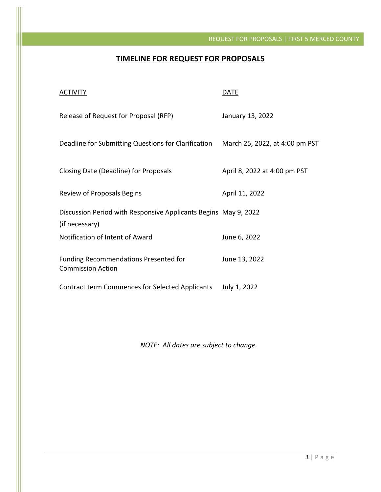### **TIMELINE FOR REQUEST FOR PROPOSALS**

| <b>ACTIVITY</b>                                                                    | DATE                         |
|------------------------------------------------------------------------------------|------------------------------|
| Release of Request for Proposal (RFP)                                              | January 13, 2022             |
| Deadline for Submitting Questions for Clarification March 25, 2022, at 4:00 pm PST |                              |
| Closing Date (Deadline) for Proposals                                              | April 8, 2022 at 4:00 pm PST |
| Review of Proposals Begins                                                         | April 11, 2022               |
| Discussion Period with Responsive Applicants Begins May 9, 2022<br>(if necessary)  |                              |
| Notification of Intent of Award                                                    | June 6, 2022                 |
| <b>Funding Recommendations Presented for</b><br><b>Commission Action</b>           | June 13, 2022                |
| Contract term Commences for Selected Applicants                                    | July 1, 2022                 |

*NOTE: All dates are subject to change.*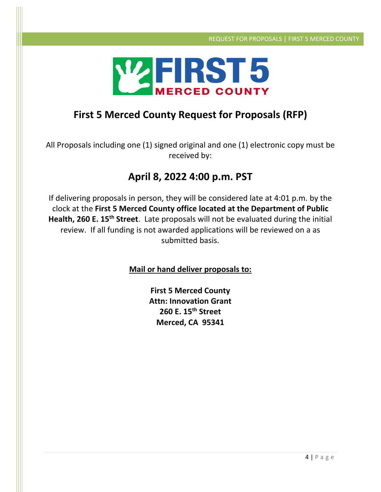

## **First 5 Merced County Request for Proposals (RFP)**

All Proposals including one (1) signed original and one (1) electronic copy must be received by:

### **April 8, 2022 4:00 p.m. PST**

If delivering proposals in person, they will be considered late at 4:01 p.m. by the clock at the **First 5 Merced County office located at the Department of Public Health, 260 E. 15th Street**. Late proposals will not be evaluated during the initial review. If all funding is not awarded applications will be reviewed on a as submitted basis.

**Mail or hand deliver proposals to:**

**First 5 Merced County Attn: Innovation Grant 260 E. 15th Street Merced, CA 95341**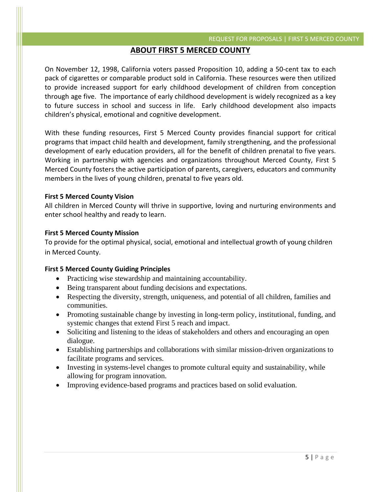### **ABOUT FIRST 5 MERCED COUNTY**

On November 12, 1998, California voters passed Proposition 10, adding a 50-cent tax to each pack of cigarettes or comparable product sold in California. These resources were then utilized to provide increased support for early childhood development of children from conception through age five. The importance of early childhood development is widely recognized as a key to future success in school and success in life. Early childhood development also impacts children's physical, emotional and cognitive development.

With these funding resources, First 5 Merced County provides financial support for critical programs that impact child health and development, family strengthening, and the professional development of early education providers, all for the benefit of children prenatal to five years. Working in partnership with agencies and organizations throughout Merced County, First 5 Merced County fosters the active participation of parents, caregivers, educators and community members in the lives of young children, prenatal to five years old.

### **First 5 Merced County Vision**

All children in Merced County will thrive in supportive, loving and nurturing environments and enter school healthy and ready to learn.

### **First 5 Merced County Mission**

To provide for the optimal physical, social, emotional and intellectual growth of young children in Merced County.

### **First 5 Merced County Guiding Principles**

- Practicing wise stewardship and maintaining accountability.
- Being transparent about funding decisions and expectations.
- Respecting the diversity, strength, uniqueness, and potential of all children, families and communities.
- Promoting sustainable change by investing in long-term policy, institutional, funding, and systemic changes that extend First 5 reach and impact.
- Soliciting and listening to the ideas of stakeholders and others and encouraging an open dialogue.
- Establishing partnerships and collaborations with similar mission-driven organizations to facilitate programs and services.
- Investing in systems-level changes to promote cultural equity and sustainability, while allowing for program innovation.
- Improving evidence-based programs and practices based on solid evaluation.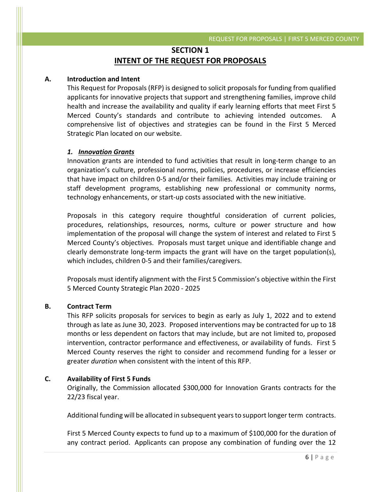### **SECTION 1 INTENT OF THE REQUEST FOR PROPOSALS**

### **A. Introduction and Intent**

This Request for Proposals(RFP) is designed to solicit proposals for funding from qualified applicants for innovative projects that support and strengthening families, improve child health and increase the availability and quality if early learning efforts that meet First 5 Merced County's standards and contribute to achieving intended outcomes. A comprehensive list of objectives and strategies can be found in the First 5 Merced Strategic Plan located on our website.

### *1. Innovation Grants*

Innovation grants are intended to fund activities that result in long-term change to an organization's culture, professional norms, policies, procedures, or increase efficiencies that have impact on children 0-5 and/or their families. Activities may include training or staff development programs, establishing new professional or community norms, technology enhancements, or start-up costs associated with the new initiative.

Proposals in this category require thoughtful consideration of current policies, procedures, relationships, resources, norms, culture or power structure and how implementation of the proposal will change the system of interest and related to First 5 Merced County's objectives. Proposals must target unique and identifiable change and clearly demonstrate long-term impacts the grant will have on the target population(s), which includes, children 0-5 and their families/caregivers.

Proposals must identify alignment with the First 5 Commission's objective within the First 5 Merced County Strategic Plan 2020 - 2025

#### **B. Contract Term**

This RFP solicits proposals for services to begin as early as July 1, 2022 and to extend through as late as June 30, 2023. Proposed interventions may be contracted for up to 18 months or less dependent on factors that may include, but are not limited to, proposed intervention, contractor performance and effectiveness, or availability of funds. First 5 Merced County reserves the right to consider and recommend funding for a lesser or greater *duration* when consistent with the intent of this RFP.

### **C. Availability of First 5 Funds**

Originally, the Commission allocated \$300,000 for Innovation Grants contracts for the 22/23 fiscal year.

Additional funding will be allocated in subsequent years to support longer term contracts.

First 5 Merced County expects to fund up to a maximum of \$100,000 for the duration of any contract period. Applicants can propose any combination of funding over the 12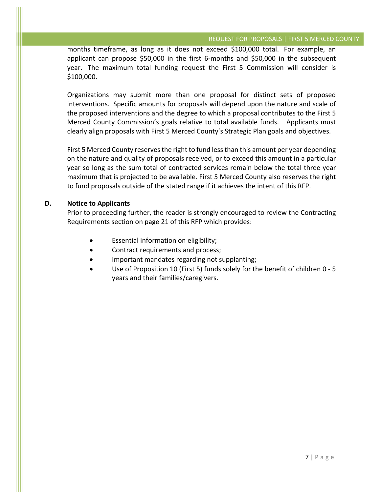months timeframe, as long as it does not exceed \$100,000 total. For example, an applicant can propose \$50,000 in the first 6-months and \$50,000 in the subsequent year. The maximum total funding request the First 5 Commission will consider is \$100,000.

Organizations may submit more than one proposal for distinct sets of proposed interventions. Specific amounts for proposals will depend upon the nature and scale of the proposed interventions and the degree to which a proposal contributes to the First 5 Merced County Commission's goals relative to total available funds. Applicants must clearly align proposals with First 5 Merced County's Strategic Plan goals and objectives.

First 5 Merced County reserves the right to fund less than this amount per year depending on the nature and quality of proposals received, or to exceed this amount in a particular year so long as the sum total of contracted services remain below the total three year maximum that is projected to be available. First 5 Merced County also reserves the right to fund proposals outside of the stated range if it achieves the intent of this RFP.

### **D. Notice to Applicants**

Prior to proceeding further, the reader is strongly encouraged to review the Contracting Requirements section on page 21 of this RFP which provides:

- Essential information on eligibility;
- Contract requirements and process;
- Important mandates regarding not supplanting;
- Use of Proposition 10 (First 5) funds solely for the benefit of children 0 5 years and their families/caregivers.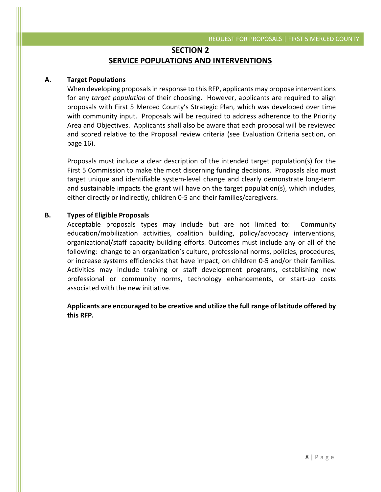### **SECTION 2 SERVICE POPULATIONS AND INTERVENTIONS**

### **A. Target Populations**

When developing proposals in response to this RFP, applicants may propose interventions for any *target population* of their choosing. However, applicants are required to align proposals with First 5 Merced County's Strategic Plan, which was developed over time with community input. Proposals will be required to address adherence to the Priority Area and Objectives. Applicants shall also be aware that each proposal will be reviewed and scored relative to the Proposal review criteria (see Evaluation Criteria section, on page 16).

Proposals must include a clear description of the intended target population(s) for the First 5 Commission to make the most discerning funding decisions. Proposals also must target unique and identifiable system-level change and clearly demonstrate long-term and sustainable impacts the grant will have on the target population(s), which includes, either directly or indirectly, children 0-5 and their families/caregivers.

### **B. Types of Eligible Proposals**

Acceptable proposals types may include but are not limited to: Community education/mobilization activities, coalition building, policy/advocacy interventions, organizational/staff capacity building efforts. Outcomes must include any or all of the following: change to an organization's culture, professional norms, policies, procedures, or increase systems efficiencies that have impact, on children 0-5 and/or their families. Activities may include training or staff development programs, establishing new professional or community norms, technology enhancements, or start-up costs associated with the new initiative.

**Applicants are encouraged to be creative and utilize the full range of latitude offered by this RFP.**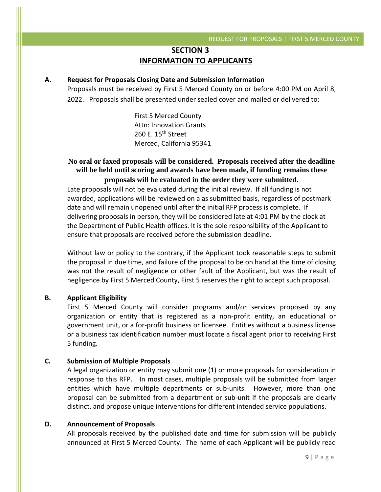### **SECTION 3 INFORMATION TO APPLICANTS**

### **A. Request for Proposals Closing Date and Submission Information**

Proposals must be received by First 5 Merced County on or before 4:00 PM on April 8, 2022. Proposals shall be presented under sealed cover and mailed or delivered to:

> First 5 Merced County Attn: Innovation Grants 260 E. 15th Street Merced, California 95341

### **No oral or faxed proposals will be considered. Proposals received after the deadline will be held until scoring and awards have been made, if funding remains these proposals will be evaluated in the order they were submitted**.

Late proposals will not be evaluated during the initial review. If all funding is not awarded, applications will be reviewed on a as submitted basis, regardless of postmark date and will remain unopened until after the initial RFP process is complete. If delivering proposals in person, they will be considered late at 4:01 PM by the clock at the Department of Public Health offices. It is the sole responsibility of the Applicant to ensure that proposals are received before the submission deadline.

Without law or policy to the contrary, if the Applicant took reasonable steps to submit the proposal in due time, and failure of the proposal to be on hand at the time of closing was not the result of negligence or other fault of the Applicant, but was the result of negligence by First 5 Merced County, First 5 reserves the right to accept such proposal.

### **B. Applicant Eligibility**

First 5 Merced County will consider programs and/or services proposed by any organization or entity that is registered as a non-profit entity, an educational or government unit, or a for-profit business or licensee. Entities without a business license or a business tax identification number must locate a fiscal agent prior to receiving First 5 funding.

### **C. Submission of Multiple Proposals**

A legal organization or entity may submit one (1) or more proposals for consideration in response to this RFP. In most cases, multiple proposals will be submitted from larger entities which have multiple departments or sub-units. However, more than one proposal can be submitted from a department or sub-unit if the proposals are clearly distinct, and propose unique interventions for different intended service populations.

### **D. Announcement of Proposals**

All proposals received by the published date and time for submission will be publicly announced at First 5 Merced County. The name of each Applicant will be publicly read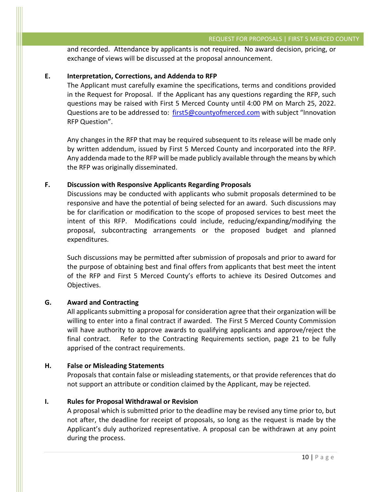and recorded. Attendance by applicants is not required. No award decision, pricing, or exchange of views will be discussed at the proposal announcement.

### **E. Interpretation, Corrections, and Addenda to RFP**

The Applicant must carefully examine the specifications, terms and conditions provided in the Request for Proposal. If the Applicant has any questions regarding the RFP, such questions may be raised with First 5 Merced County until 4:00 PM on March 25, 2022. Questions are to be addressed to: [first5@countyofmerced.com](mailto:first5@countyofmerced.com) with subject "Innovation RFP Question".

Any changes in the RFP that may be required subsequent to its release will be made only by written addendum, issued by First 5 Merced County and incorporated into the RFP. Any addenda made to the RFP will be made publicly available through the means by which the RFP was originally disseminated.

### **F. Discussion with Responsive Applicants Regarding Proposals**

Discussions may be conducted with applicants who submit proposals determined to be responsive and have the potential of being selected for an award. Such discussions may be for clarification or modification to the scope of proposed services to best meet the intent of this RFP. Modifications could include, reducing/expanding/modifying the proposal, subcontracting arrangements or the proposed budget and planned expenditures.

Such discussions may be permitted after submission of proposals and prior to award for the purpose of obtaining best and final offers from applicants that best meet the intent of the RFP and First 5 Merced County's efforts to achieve its Desired Outcomes and Objectives.

### **G. Award and Contracting**

All applicants submitting a proposal for consideration agree that their organization will be willing to enter into a final contract if awarded. The First 5 Merced County Commission will have authority to approve awards to qualifying applicants and approve/reject the final contract. Refer to the Contracting Requirements section, page 21 to be fully apprised of the contract requirements.

#### **H. False or Misleading Statements**

Proposals that contain false or misleading statements, or that provide references that do not support an attribute or condition claimed by the Applicant, may be rejected.

### **I. Rules for Proposal Withdrawal or Revision**

A proposal which is submitted prior to the deadline may be revised any time prior to, but not after, the deadline for receipt of proposals, so long as the request is made by the Applicant's duly authorized representative. A proposal can be withdrawn at any point during the process.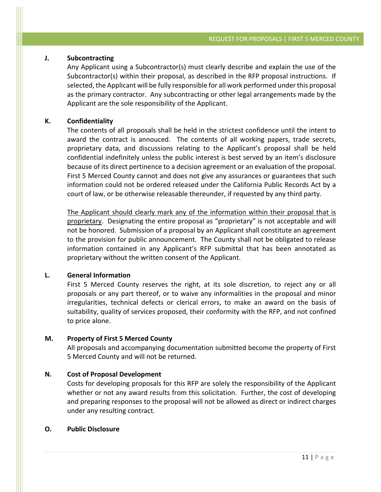### **J. Subcontracting**

Any Applicant using a Subcontractor(s) must clearly describe and explain the use of the Subcontractor(s) within their proposal, as described in the RFP proposal instructions. If selected, the Applicant will be fully responsible for all work performed under this proposal as the primary contractor. Any subcontracting or other legal arrangements made by the Applicant are the sole responsibility of the Applicant.

### **K. Confidentiality**

The contents of all proposals shall be held in the strictest confidence until the intent to award the contract is annouced. The contents of all working papers, trade secrets, proprietary data, and discussions relating to the Applicant's proposal shall be held confidential indefinitely unless the public interest is best served by an item's disclosure because of its direct pertinence to a decision agreement or an evaluation of the proposal. First 5 Merced County cannot and does not give any assurances or guarantees that such information could not be ordered released under the California Public Records Act by a court of law, or be otherwise releasable thereunder, if requested by any third party.

The Applicant should clearly mark any of the information within their proposal that is proprietary. Designating the entire proposal as "proprietary" is not acceptable and will not be honored. Submission of a proposal by an Applicant shall constitute an agreement to the provision for public announcement.The County shall not be obligated to release information contained in any Applicant's RFP submittal that has been annotated as proprietary without the written consent of the Applicant.

### **L. General Information**

First 5 Merced County reserves the right, at its sole discretion, to reject any or all proposals or any part thereof, or to waive any informalities in the proposal and minor irregularities, technical defects or clerical errors, to make an award on the basis of suitability, quality of services proposed, their conformity with the RFP, and not confined to price alone.

### **M. Property of First 5 Merced County**

All proposals and accompanying documentation submitted become the property of First 5 Merced County and will not be returned.

### **N. Cost of Proposal Development**

Costs for developing proposals for this RFP are solely the responsibility of the Applicant whether or not any award results from this solicitation. Further, the cost of developing and preparing responses to the proposal will not be allowed as direct or indirect charges under any resulting contract.

### **O. Public Disclosure**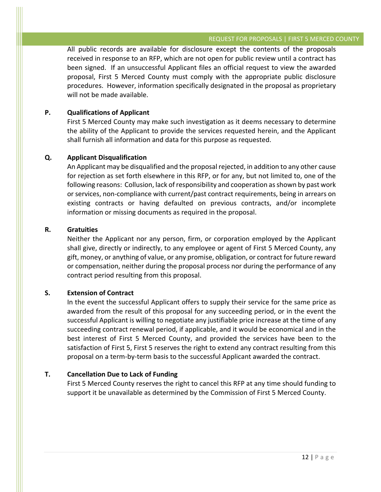All public records are available for disclosure except the contents of the proposals received in response to an RFP, which are not open for public review until a contract has been signed. If an unsuccessful Applicant files an official request to view the awarded proposal, First 5 Merced County must comply with the appropriate public disclosure procedures. However, information specifically designated in the proposal as proprietary will not be made available.

### **P. Qualifications of Applicant**

First 5 Merced County may make such investigation as it deems necessary to determine the ability of the Applicant to provide the services requested herein, and the Applicant shall furnish all information and data for this purpose as requested.

### **Q. Applicant Disqualification**

An Applicant may be disqualified and the proposal rejected, in addition to any other cause for rejection as set forth elsewhere in this RFP, or for any, but not limited to, one of the following reasons: Collusion, lack of responsibility and cooperation as shown by past work or services, non-compliance with current/past contract requirements, being in arrears on existing contracts or having defaulted on previous contracts, and/or incomplete information or missing documents as required in the proposal.

### **R. Gratuities**

Neither the Applicant nor any person, firm, or corporation employed by the Applicant shall give, directly or indirectly, to any employee or agent of First 5 Merced County, any gift, money, or anything of value, or any promise, obligation, or contract for future reward or compensation, neither during the proposal process nor during the performance of any contract period resulting from this proposal.

### **S. Extension of Contract**

In the event the successful Applicant offers to supply their service for the same price as awarded from the result of this proposal for any succeeding period, or in the event the successful Applicant is willing to negotiate any justifiable price increase at the time of any succeeding contract renewal period, if applicable, and it would be economical and in the best interest of First 5 Merced County, and provided the services have been to the satisfaction of First 5, First 5 reserves the right to extend any contract resulting from this proposal on a term-by-term basis to the successful Applicant awarded the contract.

### **T. Cancellation Due to Lack of Funding**

First 5 Merced County reserves the right to cancel this RFP at any time should funding to support it be unavailable as determined by the Commission of First 5 Merced County.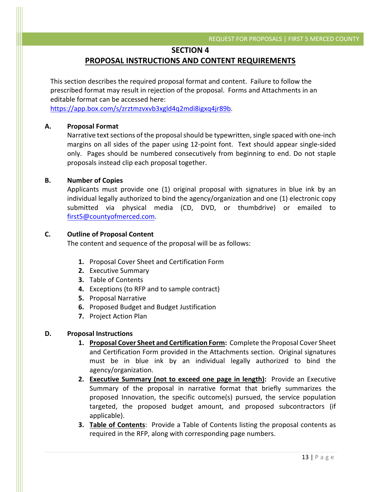### **SECTION 4**

### **PROPOSAL INSTRUCTIONS AND CONTENT REQUIREMENTS**

This section describes the required proposal format and content. Failure to follow the prescribed format may result in rejection of the proposal. Forms and Attachments in an editable format can be accessed here:

[https://app.box.com/s/zrztmzvxvb3xgld4q2mdi8igxq4jr89b.](https://app.box.com/s/zrztmzvxvb3xgld4q2mdi8igxq4jr89b)

### **A. Proposal Format**

Narrative text sections of the proposal should be typewritten, single spaced with one-inch margins on all sides of the paper using 12-point font. Text should appear single-sided only. Pages should be numbered consecutively from beginning to end. Do not staple proposals instead clip each proposal together.

### **B. Number of Copies**

Applicants must provide one (1) original proposal with signatures in blue ink by an individual legally authorized to bind the agency/organization and one (1) electronic copy submitted via physical media (CD, DVD, or thumbdrive) or emailed to [first5@countyofmerced.com.](mailto:first5@countyofmerced.com)

### **C. Outline of Proposal Content**

The content and sequence of the proposal will be as follows:

- **1.** Proposal Cover Sheet and Certification Form
- **2.** Executive Summary
- **3.** Table of Contents
- **4.** Exceptions (to RFP and to sample contract)
- **5.** Proposal Narrative
- **6.** Proposed Budget and Budget Justification
- **7.** Project Action Plan

### **D. Proposal Instructions**

- **1. Proposal Cover Sheet and Certification Form:** Complete the Proposal Cover Sheet and Certification Form provided in the Attachments section. Original signatures must be in blue ink by an individual legally authorized to bind the agency/organization.
- **2. Executive Summary (not to exceed one page in length):** Provide an Executive Summary of the proposal in narrative format that briefly summarizes the proposed Innovation, the specific outcome(s) pursued, the service population targeted, the proposed budget amount, and proposed subcontractors (if applicable).
- **3. Table of Contents**: Provide a Table of Contents listing the proposal contents as required in the RFP, along with corresponding page numbers.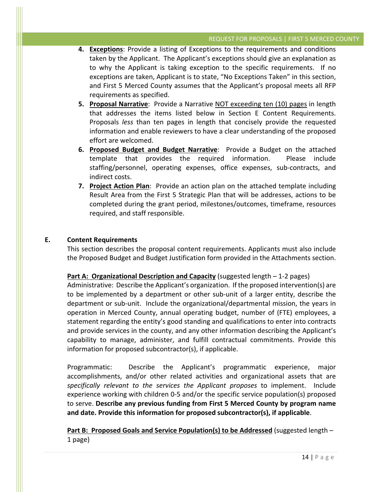- **4. Exceptions**: Provide a listing of Exceptions to the requirements and conditions taken by the Applicant. The Applicant's exceptions should give an explanation as to why the Applicant is taking exception to the specific requirements. If no exceptions are taken, Applicant is to state, "No Exceptions Taken" in this section, and First 5 Merced County assumes that the Applicant's proposal meets all RFP requirements as specified.
- **5. Proposal Narrative**:Provide a Narrative NOT exceeding ten (10) pages in length that addresses the items listed below in Section E Content Requirements. Proposals *less* than ten pages in length that concisely provide the requested information and enable reviewers to have a clear understanding of the proposed effort are welcomed.
- **6. Proposed Budget and Budget Narrative**:Provide a Budget on the attached template that provides the required information. Please include staffing/personnel, operating expenses, office expenses, sub-contracts, and indirect costs.
- **7. Project Action Plan**:Provide an action plan on the attached template including Result Area from the First 5 Strategic Plan that will be addresses, actions to be completed during the grant period, milestones/outcomes, timeframe, resources required, and staff responsible.

### **E. Content Requirements**

This section describes the proposal content requirements. Applicants must also include the Proposed Budget and Budget Justification form provided in the Attachments section.

### **Part A: Organizational Description and Capacity** (suggested length - 1-2 pages)

Administrative: Describe the Applicant's organization. If the proposed intervention(s) are to be implemented by a department or other sub-unit of a larger entity, describe the department or sub-unit. Include the organizational/departmental mission, the years in operation in Merced County, annual operating budget, number of (FTE) employees, a statement regarding the entity's good standing and qualifications to enter into contracts and provide services in the county, and any other information describing the Applicant's capability to manage, administer, and fulfill contractual commitments. Provide this information for proposed subcontractor(s), if applicable.

Programmatic: Describe the Applicant's programmatic experience, major accomplishments, and/or other related activities and organizational assets that are *specifically relevant to the services the Applicant proposes* to implement. Include experience working with children 0-5 and/or the specific service population(s) proposed to serve. **Describe any previous funding from First 5 Merced County by program name and date. Provide this information for proposed subcontractor(s), if applicable**.

**Part B: Proposed Goals and Service Population(s) to be Addressed** (suggested length -1 page)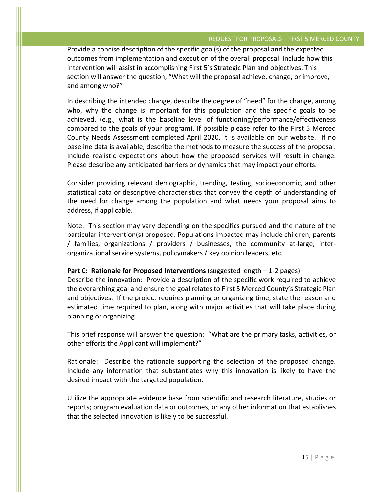Provide a concise description of the specific goal(s) of the proposal and the expected outcomes from implementation and execution of the overall proposal. Include how this intervention will assist in accomplishing First 5's Strategic Plan and objectives. This section will answer the question, "What will the proposal achieve, change, or improve, and among who?"

In describing the intended change, describe the degree of "need" for the change, among who, why the change is important for this population and the specific goals to be achieved. (e.g., what is the baseline level of functioning/performance/effectiveness compared to the goals of your program). If possible please refer to the First 5 Merced County Needs Assessment completed April 2020, it is available on our website. If no baseline data is available, describe the methods to measure the success of the proposal. Include realistic expectations about how the proposed services will result in change. Please describe any anticipated barriers or dynamics that may impact your efforts.

Consider providing relevant demographic, trending, testing, socioeconomic, and other statistical data or descriptive characteristics that convey the depth of understanding of the need for change among the population and what needs your proposal aims to address, if applicable.

Note: This section may vary depending on the specifics pursued and the nature of the particular intervention(s) proposed. Populations impacted may include children, parents / families, organizations / providers / businesses, the community at-large, interorganizational service systems, policymakers / key opinion leaders, etc.

#### **Part C: Rationale for Proposed Interventions** (suggested length – 1-2 pages)

Describe the innovation: Provide a description of the specific work required to achieve the overarching goal and ensure the goal relates to First 5 Merced County's Strategic Plan and objectives. If the project requires planning or organizing time, state the reason and estimated time required to plan, along with major activities that will take place during planning or organizing

This brief response will answer the question: "What are the primary tasks, activities, or other efforts the Applicant will implement?"

Rationale: Describe the rationale supporting the selection of the proposed change. Include any information that substantiates why this innovation is likely to have the desired impact with the targeted population.

Utilize the appropriate evidence base from scientific and research literature, studies or reports; program evaluation data or outcomes, or any other information that establishes that the selected innovation is likely to be successful.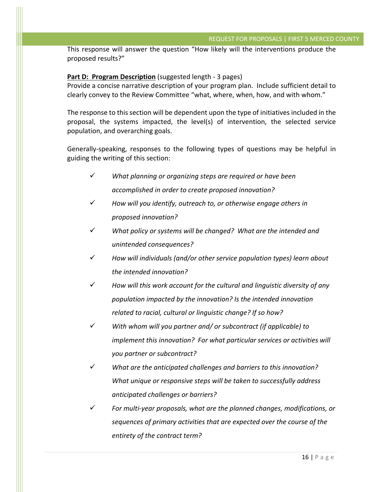This response will answer the question "How likely will the interventions produce the proposed results?"

### **Part D: Program Description** (suggested length - 3 pages)

Provide a concise narrative description of your program plan. Include sufficient detail to clearly convey to the Review Committee "what, where, when, how, and with whom."

The response to this section will be dependent upon the type of initiatives included in the proposal, the systems impacted, the level(s) of intervention, the selected service population, and overarching goals.

Generally-speaking, responses to the following types of questions may be helpful in guiding the writing of this section:

- *What planning or organizing steps are required or have been accomplished in order to create proposed innovation?*
- *How will you identify, outreach to, or otherwise engage others in proposed innovation?*
- *What policy or systems will be changed? What are the intended and unintended consequences?*
- *How will individuals (and/or other service population types) learn about the intended innovation?*
- *How will this work account for the cultural and linguistic diversity of any population impacted by the innovation? Is the intended innovation related to racial, cultural or linguistic change? If so how?*
- *With whom will you partner and/ or subcontract (if applicable) to implement this innovation? For what particular services or activities will you partner or subcontract?*
- *What are the anticipated challenges and barriers to this innovation? What unique or responsive steps will be taken to successfully address anticipated challenges or barriers?*
- *For multi-year proposals, what are the planned changes, modifications, or sequences of primary activities that are expected over the course of the entirety of the contract term?*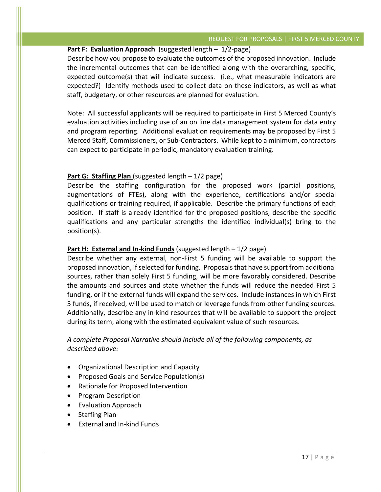### **Part F: Evaluation Approach** (suggested length – 1/2-page)

Describe how you propose to evaluate the outcomes of the proposed innovation. Include the incremental outcomes that can be identified along with the overarching, specific, expected outcome(s) that will indicate success. (i.e., what measurable indicators are expected?) Identify methods used to collect data on these indicators, as well as what staff, budgetary, or other resources are planned for evaluation.

Note: All successful applicants will be required to participate in First 5 Merced County's evaluation activities including use of an on line data management system for data entry and program reporting. Additional evaluation requirements may be proposed by First 5 Merced Staff, Commissioners, or Sub-Contractors. While kept to a minimum, contractors can expect to participate in periodic, mandatory evaluation training.

### **Part G: Staffing Plan** (suggested length – 1/2 page)

Describe the staffing configuration for the proposed work (partial positions, augmentations of FTEs), along with the experience, certifications and/or special qualifications or training required, if applicable. Describe the primary functions of each position. If staff is already identified for the proposed positions, describe the specific qualifications and any particular strengths the identified individual(s) bring to the position(s).

### **Part H: External and In-kind Funds** (suggested length - 1/2 page)

Describe whether any external, non-First 5 funding will be available to support the proposed innovation, if selected for funding. Proposals that have support from additional sources, rather than solely First 5 funding, will be more favorably considered. Describe the amounts and sources and state whether the funds will reduce the needed First 5 funding, or if the external funds will expand the services. Include instances in which First 5 funds, if received, will be used to match or leverage funds from other funding sources. Additionally, describe any in-kind resources that will be available to support the project during its term, along with the estimated equivalent value of such resources.

### *A complete Proposal Narrative should include all of the following components, as described above:*

- Organizational Description and Capacity
- Proposed Goals and Service Population(s)
- Rationale for Proposed Intervention
- Program Description
- Evaluation Approach
- Staffing Plan
- External and In-kind Funds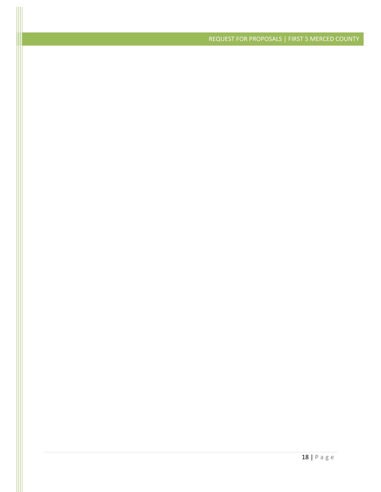REQUEST FOR PROPOSALS | FIRST 5 MERCED COUNTY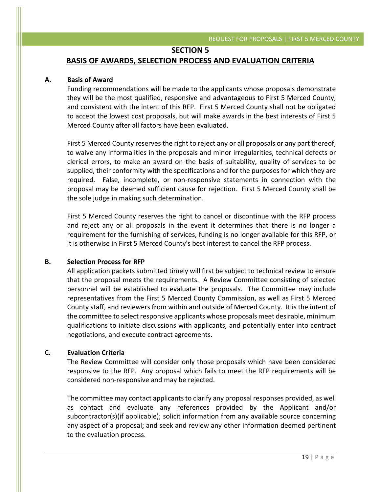### **SECTION 5**

### **BASIS OF AWARDS, SELECTION PROCESS AND EVALUATION CRITERIA**

### **A. Basis of Award**

Funding recommendations will be made to the applicants whose proposals demonstrate they will be the most qualified, responsive and advantageous to First 5 Merced County, and consistent with the intent of this RFP. First 5 Merced County shall not be obligated to accept the lowest cost proposals, but will make awards in the best interests of First 5 Merced County after all factors have been evaluated.

First 5 Merced County reserves the right to reject any or all proposals or any part thereof, to waive any informalities in the proposals and minor irregularities, technical defects or clerical errors, to make an award on the basis of suitability, quality of services to be supplied, their conformity with the specifications and for the purposes for which they are required. False, incomplete, or non-responsive statements in connection with the proposal may be deemed sufficient cause for rejection. First 5 Merced County shall be the sole judge in making such determination.

First 5 Merced County reserves the right to cancel or discontinue with the RFP process and reject any or all proposals in the event it determines that there is no longer a requirement for the furnishing of services, funding is no longer available for this RFP, or it is otherwise in First 5 Merced County's best interest to cancel the RFP process.

#### **B. Selection Process for RFP**

All application packets submitted timely will first be subject to technical review to ensure that the proposal meets the requirements. A Review Committee consisting of selected personnel will be established to evaluate the proposals. The Committee may include representatives from the First 5 Merced County Commission, as well as First 5 Merced County staff, and reviewers from within and outside of Merced County. It is the intent of the committee to select responsive applicants whose proposals meet desirable, minimum qualifications to initiate discussions with applicants, and potentially enter into contract negotiations, and execute contract agreements.

### **C. Evaluation Criteria**

The Review Committee will consider only those proposals which have been considered responsive to the RFP. Any proposal which fails to meet the RFP requirements will be considered non-responsive and may be rejected.

The committee may contact applicants to clarify any proposal responses provided, as well as contact and evaluate any references provided by the Applicant and/or subcontractor(s)(if applicable); solicit information from any available source concerning any aspect of a proposal; and seek and review any other information deemed pertinent to the evaluation process.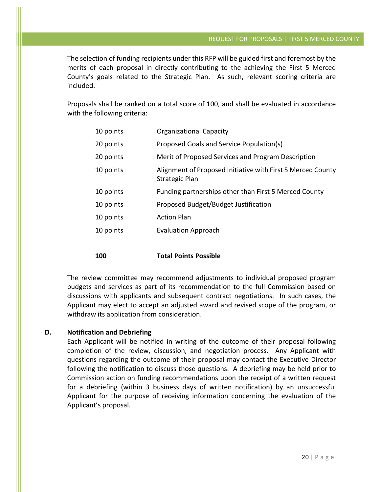The selection of funding recipients under this RFP will be guided first and foremost by the merits of each proposal in directly contributing to the achieving the First 5 Merced County's goals related to the Strategic Plan. As such, relevant scoring criteria are included.

Proposals shall be ranked on a total score of 100, and shall be evaluated in accordance with the following criteria:

| 10 points | <b>Organizational Capacity</b>                                                |
|-----------|-------------------------------------------------------------------------------|
| 20 points | Proposed Goals and Service Population(s)                                      |
| 20 points | Merit of Proposed Services and Program Description                            |
| 10 points | Alignment of Proposed Initiative with First 5 Merced County<br>Strategic Plan |
| 10 points | Funding partnerships other than First 5 Merced County                         |
| 10 points | Proposed Budget/Budget Justification                                          |
| 10 points | <b>Action Plan</b>                                                            |
| 10 points | <b>Evaluation Approach</b>                                                    |
|           |                                                                               |

#### **100 Total Points Possible**

The review committee may recommend adjustments to individual proposed program budgets and services as part of its recommendation to the full Commission based on discussions with applicants and subsequent contract negotiations. In such cases, the Applicant may elect to accept an adjusted award and revised scope of the program, or withdraw its application from consideration.

### **D. Notification and Debriefing**

Each Applicant will be notified in writing of the outcome of their proposal following completion of the review, discussion, and negotiation process. Any Applicant with questions regarding the outcome of their proposal may contact the Executive Director following the notification to discuss those questions. A debriefing may be held prior to Commission action on funding recommendations upon the receipt of a written request for a debriefing (within 3 business days of written notification) by an unsuccessful Applicant for the purpose of receiving information concerning the evaluation of the Applicant's proposal.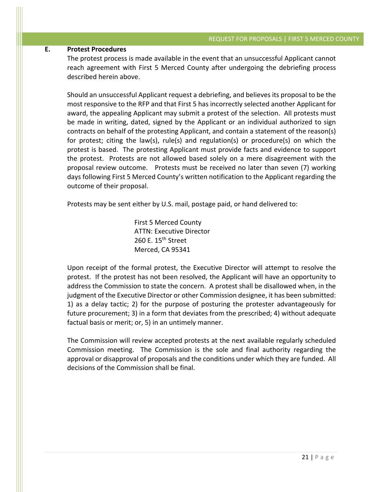#### **E. Protest Procedures**

The protest process is made available in the event that an unsuccessful Applicant cannot reach agreement with First 5 Merced County after undergoing the debriefing process described herein above.

Should an unsuccessful Applicant request a debriefing, and believes its proposal to be the most responsive to the RFP and that First 5 has incorrectly selected another Applicant for award, the appealing Applicant may submit a protest of the selection. All protests must be made in writing, dated, signed by the Applicant or an individual authorized to sign contracts on behalf of the protesting Applicant, and contain a statement of the reason(s) for protest; citing the law(s), rule(s) and regulation(s) or procedure(s) on which the protest is based. The protesting Applicant must provide facts and evidence to support the protest. Protests are not allowed based solely on a mere disagreement with the proposal review outcome. Protests must be received no later than seven (7) working days following First 5 Merced County's written notification to the Applicant regarding the outcome of their proposal.

Protests may be sent either by U.S. mail, postage paid, or hand delivered to:

First 5 Merced County ATTN: Executive Director 260 E. 15<sup>th</sup> Street Merced, CA 95341

Upon receipt of the formal protest, the Executive Director will attempt to resolve the protest. If the protest has not been resolved, the Applicant will have an opportunity to address the Commission to state the concern. A protest shall be disallowed when, in the judgment of the Executive Director or other Commission designee, it has been submitted: 1) as a delay tactic; 2) for the purpose of posturing the protester advantageously for future procurement; 3) in a form that deviates from the prescribed; 4) without adequate factual basis or merit; or, 5) in an untimely manner.

The Commission will review accepted protests at the next available regularly scheduled Commission meeting. The Commission is the sole and final authority regarding the approval or disapproval of proposals and the conditions under which they are funded. All decisions of the Commission shall be final.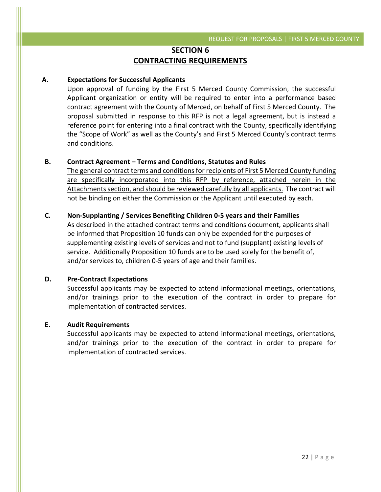### **SECTION 6 CONTRACTING REQUIREMENTS**

### **A. Expectations for Successful Applicants**

Upon approval of funding by the First 5 Merced County Commission, the successful Applicant organization or entity will be required to enter into a performance based contract agreement with the County of Merced, on behalf of First 5 Merced County. The proposal submitted in response to this RFP is not a legal agreement, but is instead a reference point for entering into a final contract with the County, specifically identifying the "Scope of Work" as well as the County's and First 5 Merced County's contract terms and conditions.

### **B. Contract Agreement – Terms and Conditions, Statutes and Rules**

The general contract terms and conditions for recipients of First 5 Merced County funding are specifically incorporated into this RFP by reference, attached herein in the Attachments section, and should be reviewed carefully by all applicants. The contract will not be binding on either the Commission or the Applicant until executed by each.

### **C. Non-Supplanting / Services Benefiting Children 0-5 years and their Families**

As described in the attached contract terms and conditions document, applicants shall be informed that Proposition 10 funds can only be expended for the purposes of supplementing existing levels of services and not to fund (supplant) existing levels of service. Additionally Proposition 10 funds are to be used solely for the benefit of, and/or services to, children 0-5 years of age and their families.

#### **D. Pre-Contract Expectations**

Successful applicants may be expected to attend informational meetings, orientations, and/or trainings prior to the execution of the contract in order to prepare for implementation of contracted services.

### **E. Audit Requirements**

Successful applicants may be expected to attend informational meetings, orientations, and/or trainings prior to the execution of the contract in order to prepare for implementation of contracted services.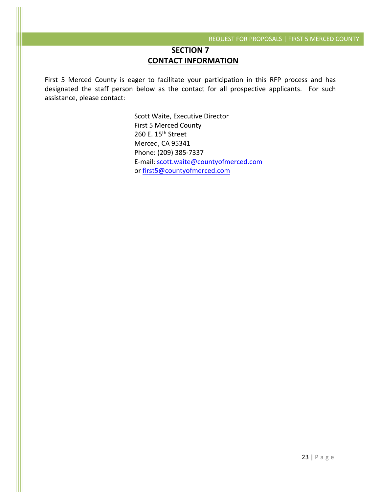### **SECTION 7 CONTACT INFORMATION**

First 5 Merced County is eager to facilitate your participation in this RFP process and has designated the staff person below as the contact for all prospective applicants. For such assistance, please contact:

> Scott Waite, Executive Director First 5 Merced County 260 E. 15<sup>th</sup> Street Merced, CA 95341 Phone: (209) 385-7337 E-mail: [scott.waite@countyofmerced.com](mailto:scott.waite@countyofmerced.com) or [first5@countyofmerced.com](mailto:first5@countyofmerced.com)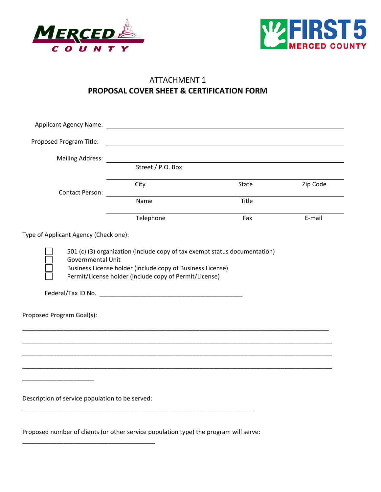

\_\_\_\_\_\_\_\_\_\_\_\_\_\_\_\_\_\_\_\_\_\_\_\_\_\_\_\_\_\_\_\_\_\_\_\_\_\_\_



### ATTACHMENT 1 **PROPOSAL COVER SHEET & CERTIFICATION FORM**

| <b>Applicant Agency Name:</b>                                                         | <u> 1980 - Andrea Andrew Maria (h. 1980).</u>               |       |          |
|---------------------------------------------------------------------------------------|-------------------------------------------------------------|-------|----------|
| Proposed Program Title:                                                               |                                                             |       |          |
| <b>Mailing Address:</b>                                                               |                                                             |       |          |
|                                                                                       | Street / P.O. Box                                           |       |          |
| <b>Contact Person:</b>                                                                | City                                                        | State | Zip Code |
|                                                                                       | Name                                                        | Title |          |
|                                                                                       | Telephone                                                   | Fax   | E-mail   |
| Type of Applicant Agency (Check one):                                                 |                                                             |       |          |
| Proposed Program Goal(s):                                                             | Permit/License holder (include copy of Permit/License)      |       |          |
|                                                                                       | <u> 1989 - Johann Stoff, amerikansk politiker (d. 1989)</u> |       |          |
|                                                                                       |                                                             |       |          |
| Description of service population to be served:                                       |                                                             |       |          |
| Proposed number of clients (or other service population type) the program will serve: |                                                             |       |          |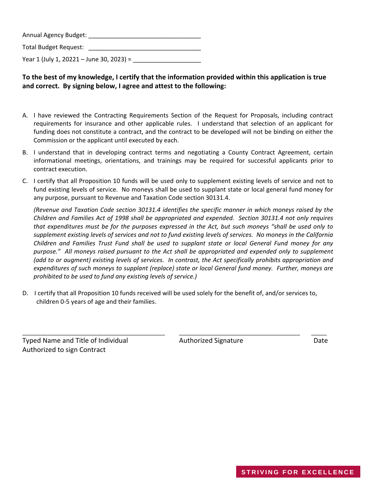| Annual Agency Budget:                    |  |
|------------------------------------------|--|
| Total Budget Request:                    |  |
| Year 1 (July 1, 20221 – June 30, 2023) = |  |

### **To the best of my knowledge, I certify that the information provided within this application is true and correct. By signing below, I agree and attest to the following:**

- A. I have reviewed the Contracting Requirements Section of the Request for Proposals, including contract requirements for insurance and other applicable rules. I understand that selection of an applicant for funding does not constitute a contract, and the contract to be developed will not be binding on either the Commission or the applicant until executed by each.
- B. I understand that in developing contract terms and negotiating a County Contract Agreement, certain informational meetings, orientations, and trainings may be required for successful applicants prior to contract execution.
- C. I certify that all Proposition 10 funds will be used only to supplement existing levels of service and not to fund existing levels of service. No moneys shall be used to supplant state or local general fund money for any purpose, pursuant to Revenue and Taxation Code section 30131.4.

*(Revenue and Taxation Code section 30131.4 identifies the specific manner in which moneys raised by the Children and Families Act of 1998 shall be appropriated and expended. Section 30131.4 not only requires that expenditures must be for the purposes expressed in the Act, but such moneys "shall be used only to supplement existing levels of services and not to fund existing levels of services. No moneys in the California Children and Families Trust Fund shall be used to supplant state or local General Fund money for any purpose." All moneys raised pursuant to the Act shall be appropriated and expended only to supplement (add to or augment) existing levels of services. In contrast, the Act specifically prohibits appropriation and expenditures of such moneys to supplant (replace) state or local General fund money. Further, moneys are prohibited to be used to fund any existing levels of service.)* 

D. I certify that all Proposition 10 funds received will be used solely for the benefit of, and/or services to, children 0-5 years of age and their families.

\_\_\_\_\_\_\_\_\_\_\_\_\_\_\_\_\_\_\_\_\_\_\_\_\_\_\_\_\_\_\_\_\_\_\_\_\_\_\_\_\_\_\_\_\_\_ \_\_\_\_\_\_\_\_\_\_\_\_\_\_\_\_\_\_\_\_\_\_\_\_\_\_\_\_\_\_\_\_\_\_\_\_\_\_\_ \_\_\_\_\_

Typed Name and Title of Individual **Authorized Signature** Authorized Signature **Authorized Signature** Date Authorized to sign Contract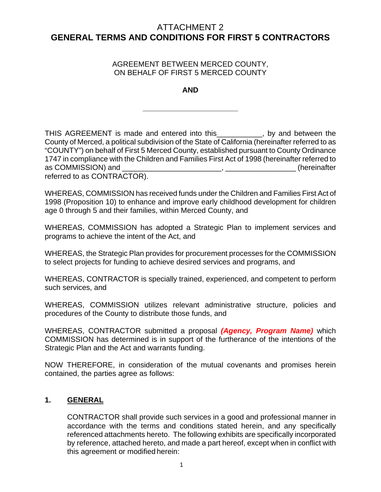### ATTACHMENT 2 **GENERAL TERMS AND CONDITIONS FOR FIRST 5 CONTRACTORS**

AGREEMENT BETWEEN MERCED COUNTY, ON BEHALF OF FIRST 5 MERCED COUNTY

### **AND**

**\_\_\_\_\_\_\_\_\_\_\_\_\_\_\_\_\_\_\_\_\_\_\_**

THIS AGREEMENT is made and entered into this\_\_\_\_\_\_\_\_\_\_\_, by and between the County of Merced, a political subdivision of the State of California (hereinafter referred to as "COUNTY") on behalf of First 5 Merced County, established pursuant to County Ordinance 1747 in compliance with the Children and Families First Act of 1998 (hereinafter referred to<br>as COMMISSION) and (hereinafter as COMMISSION) and COMMISSION) and COMMISSION) and COMMISSION (hereinafter referred to as CONTRACTOR).

WHEREAS, COMMISSION has received funds under the Children and Families First Act of 1998 (Proposition 10) to enhance and improve early childhood development for children age 0 through 5 and their families, within Merced County, and

WHEREAS, COMMISSION has adopted a Strategic Plan to implement services and programs to achieve the intent of the Act, and

WHEREAS, the Strategic Plan provides for procurement processes for the COMMISSION to select projects for funding to achieve desired services and programs, and

WHEREAS, CONTRACTOR is specially trained, experienced, and competent to perform such services, and

WHEREAS, COMMISSION utilizes relevant administrative structure, policies and procedures of the County to distribute those funds, and

WHEREAS, CONTRACTOR submitted a proposal *(Agency, Program Name)* which COMMISSION has determined is in support of the furtherance of the intentions of the Strategic Plan and the Act and warrants funding.

NOW THEREFORE, in consideration of the mutual covenants and promises herein contained, the parties agree as follows:

### **1. GENERAL**

CONTRACTOR shall provide such services in a good and professional manner in accordance with the terms and conditions stated herein, and any specifically referenced attachments hereto. The following exhibits are specifically incorporated by reference, attached hereto, and made a part hereof, except when in conflict with this agreement or modified herein: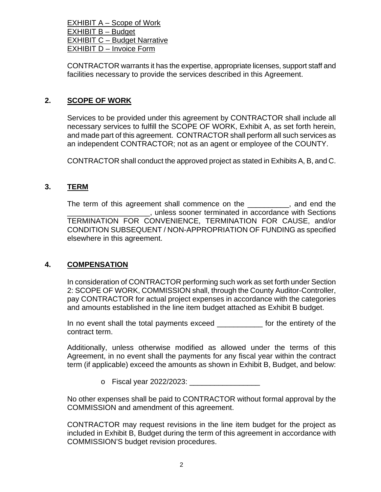EXHIBIT A – Scope of Work EXHIBIT B – Budget EXHIBIT C – Budget Narrative EXHIBIT D – Invoice Form

CONTRACTOR warrants it has the expertise, appropriate licenses, support staff and facilities necessary to provide the services described in this Agreement.

### **2. SCOPE OF WORK**

Services to be provided under this agreement by CONTRACTOR shall include all necessary services to fulfill the SCOPE OF WORK, Exhibit A, as set forth herein, and made part of this agreement. CONTRACTOR shall perform all such services as an independent CONTRACTOR; not as an agent or employee of the COUNTY.

CONTRACTOR shall conduct the approved project as stated in Exhibits A, B, and C.

### **3. TERM**

The term of this agreement shall commence on the \_\_\_\_\_\_\_\_\_\_, and end the \_\_\_\_\_\_\_\_\_\_\_\_\_\_\_\_\_\_\_\_, unless sooner terminated in accordance with Sections TERMINATION FOR CONVENIENCE, TERMINATION FOR CAUSE, and/or CONDITION SUBSEQUENT / NON-APPROPRIATION OF FUNDING as specified elsewhere in this agreement.

### **4. COMPENSATION**

In consideration of CONTRACTOR performing such work as set forth under Section 2: SCOPE OF WORK, COMMISSION shall, through the County Auditor-Controller, pay CONTRACTOR for actual project expenses in accordance with the categories and amounts established in the line item budget attached as Exhibit B budget.

In no event shall the total payments exceed \_\_\_\_\_\_\_\_\_\_\_\_ for the entirety of the contract term.

Additionally, unless otherwise modified as allowed under the terms of this Agreement, in no event shall the payments for any fiscal year within the contract term (if applicable) exceed the amounts as shown in Exhibit B, Budget, and below:

 $\circ$  Fiscal year 2022/2023:  $\bullet$ 

No other expenses shall be paid to CONTRACTOR without formal approval by the COMMISSION and amendment of this agreement.

CONTRACTOR may request revisions in the line item budget for the project as included in Exhibit B, Budget during the term of this agreement in accordance with COMMISSION'S budget revision procedures.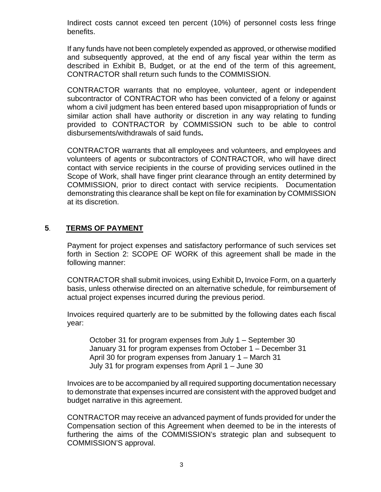Indirect costs cannot exceed ten percent (10%) of personnel costs less fringe benefits.

If any funds have not been completely expended as approved, or otherwise modified and subsequently approved, at the end of any fiscal year within the term as described in Exhibit B, Budget, or at the end of the term of this agreement, CONTRACTOR shall return such funds to the COMMISSION.

CONTRACTOR warrants that no employee, volunteer, agent or independent subcontractor of CONTRACTOR who has been convicted of a felony or against whom a civil judgment has been entered based upon misappropriation of funds or similar action shall have authority or discretion in any way relating to funding provided to CONTRACTOR by COMMISSION such to be able to control disbursements/withdrawals of said funds**.** 

CONTRACTOR warrants that all employees and volunteers, and employees and volunteers of agents or subcontractors of CONTRACTOR, who will have direct contact with service recipients in the course of providing services outlined in the Scope of Work, shall have finger print clearance through an entity determined by COMMISSION, prior to direct contact with service recipients. Documentation demonstrating this clearance shall be kept on file for examination by COMMISSION at its discretion.

### **5**. **TERMS OF PAYMENT**

Payment for project expenses and satisfactory performance of such services set forth in Section 2: SCOPE OF WORK of this agreement shall be made in the following manner:

CONTRACTOR shall submit invoices, using Exhibit D**,** Invoice Form, on a quarterly basis, unless otherwise directed on an alternative schedule, for reimbursement of actual project expenses incurred during the previous period.

Invoices required quarterly are to be submitted by the following dates each fiscal year:

October 31 for program expenses from July 1 – September 30 January 31 for program expenses from October 1 – December 31 April 30 for program expenses from January 1 – March 31 July 31 for program expenses from April 1 – June 30

Invoices are to be accompanied by all required supporting documentation necessary to demonstrate that expenses incurred are consistent with the approved budget and budget narrative in this agreement.

CONTRACTOR may receive an advanced payment of funds provided for under the Compensation section of this Agreement when deemed to be in the interests of furthering the aims of the COMMISSION's strategic plan and subsequent to COMMISSION'S approval.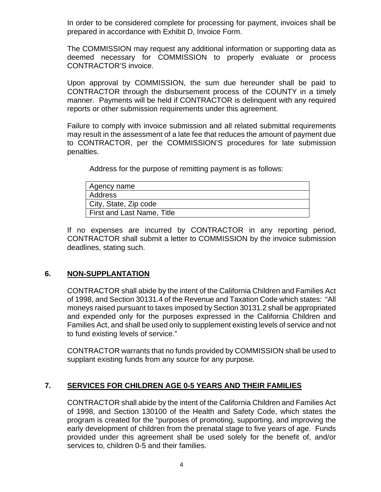In order to be considered complete for processing for payment, invoices shall be prepared in accordance with Exhibit D, Invoice Form.

The COMMISSION may request any additional information or supporting data as deemed necessary for COMMISSION to properly evaluate or process CONTRACTOR'S invoice.

Upon approval by COMMISSION, the sum due hereunder shall be paid to CONTRACTOR through the disbursement process of the COUNTY in a timely manner. Payments will be held if CONTRACTOR is delinquent with any required reports or other submission requirements under this agreement.

Failure to comply with invoice submission and all related submittal requirements may result in the assessment of a late fee that reduces the amount of payment due to CONTRACTOR, per the COMMISSION'S procedures for late submission penalties.

Address for the purpose of remitting payment is as follows:

| Agency name                |
|----------------------------|
| <b>Address</b>             |
| City, State, Zip code      |
| First and Last Name, Title |

If no expenses are incurred by CONTRACTOR in any reporting period, CONTRACTOR shall submit a letter to COMMISSION by the invoice submission deadlines, stating such.

### **6. NON-SUPPLANTATION**

CONTRACTOR shall abide by the intent of the California Children and Families Act of 1998, and Section 30131.4 of the Revenue and Taxation Code which states: "All moneys raised pursuant to taxes imposed by Section 30131.2 shall be appropriated and expended only for the purposes expressed in the California Children and Families Act, and shall be used only to supplement existing levels of service and not to fund existing levels of service."

CONTRACTOR warrants that no funds provided by COMMISSION shall be used to supplant existing funds from any source for any purpose.

### **7. SERVICES FOR CHILDREN AGE 0-5 YEARS AND THEIR FAMILIES**

CONTRACTOR shall abide by the intent of the California Children and Families Act of 1998, and Section 130100 of the Health and Safety Code, which states the program is created for the "purposes of promoting, supporting, and improving the early development of children from the prenatal stage to five years of age. Funds provided under this agreement shall be used solely for the benefit of, and/or services to, children 0-5 and their families.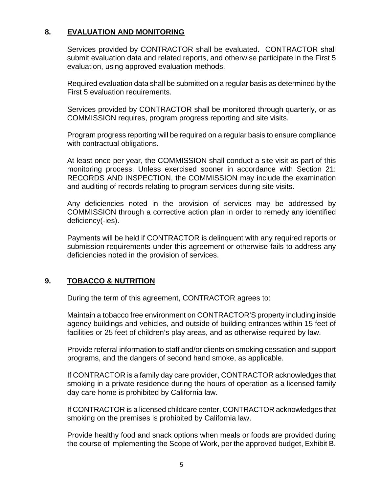### **8. EVALUATION AND MONITORING**

Services provided by CONTRACTOR shall be evaluated. CONTRACTOR shall submit evaluation data and related reports, and otherwise participate in the First 5 evaluation, using approved evaluation methods.

Required evaluation data shall be submitted on a regular basis as determined by the First 5 evaluation requirements.

Services provided by CONTRACTOR shall be monitored through quarterly, or as COMMISSION requires, program progress reporting and site visits.

Program progress reporting will be required on a regular basis to ensure compliance with contractual obligations.

At least once per year, the COMMISSION shall conduct a site visit as part of this monitoring process. Unless exercised sooner in accordance with Section 21: RECORDS AND INSPECTION, the COMMISSION may include the examination and auditing of records relating to program services during site visits.

Any deficiencies noted in the provision of services may be addressed by COMMISSION through a corrective action plan in order to remedy any identified deficiency(-ies).

Payments will be held if CONTRACTOR is delinquent with any required reports or submission requirements under this agreement or otherwise fails to address any deficiencies noted in the provision of services.

### **9. TOBACCO & NUTRITION**

During the term of this agreement, CONTRACTOR agrees to:

Maintain a tobacco free environment on CONTRACTOR'S property including inside agency buildings and vehicles, and outside of building entrances within 15 feet of facilities or 25 feet of children's play areas, and as otherwise required by law.

Provide referral information to staff and/or clients on smoking cessation and support programs, and the dangers of second hand smoke, as applicable.

If CONTRACTOR is a family day care provider, CONTRACTOR acknowledges that smoking in a private residence during the hours of operation as a licensed family day care home is prohibited by California law.

If CONTRACTOR is a licensed childcare center, CONTRACTOR acknowledges that smoking on the premises is prohibited by California law.

Provide healthy food and snack options when meals or foods are provided during the course of implementing the Scope of Work, per the approved budget, Exhibit B.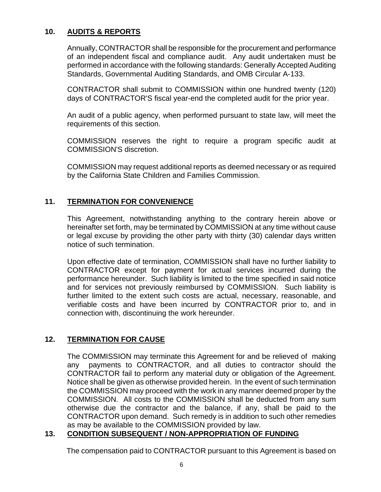### **10. AUDITS & REPORTS**

Annually, CONTRACTOR shall be responsible for the procurement and performance of an independent fiscal and compliance audit. Any audit undertaken must be performed in accordance with the following standards: Generally Accepted Auditing Standards, Governmental Auditing Standards, and OMB Circular A-133.

CONTRACTOR shall submit to COMMISSION within one hundred twenty (120) days of CONTRACTOR'S fiscal year-end the completed audit for the prior year.

An audit of a public agency, when performed pursuant to state law, will meet the requirements of this section.

COMMISSION reserves the right to require a program specific audit at COMMISSION'S discretion.

COMMISSION may request additional reports as deemed necessary or as required by the California State Children and Families Commission.

### **11. TERMINATION FOR CONVENIENCE**

This Agreement, notwithstanding anything to the contrary herein above or hereinafter set forth, may be terminated by COMMISSION at any time without cause or legal excuse by providing the other party with thirty (30) calendar days written notice of such termination.

Upon effective date of termination, COMMISSION shall have no further liability to CONTRACTOR except for payment for actual services incurred during the performance hereunder. Such liability is limited to the time specified in said notice and for services not previously reimbursed by COMMISSION. Such liability is further limited to the extent such costs are actual, necessary, reasonable, and verifiable costs and have been incurred by CONTRACTOR prior to, and in connection with, discontinuing the work hereunder.

### **12. TERMINATION FOR CAUSE**

The COMMISSION may terminate this Agreement for and be relieved of making any payments to CONTRACTOR, and all duties to contractor should the CONTRACTOR fail to perform any material duty or obligation of the Agreement. Notice shall be given as otherwise provided herein. In the event of such termination the COMMISSION may proceed with the work in any manner deemed proper by the COMMISSION. All costs to the COMMISSION shall be deducted from any sum otherwise due the contractor and the balance, if any, shall be paid to the CONTRACTOR upon demand. Such remedy is in addition to such other remedies as may be available to the COMMISSION provided by law.

### **13. CONDITION SUBSEQUENT / NON-APPROPRIATION OF FUNDING**

The compensation paid to CONTRACTOR pursuant to this Agreement is based on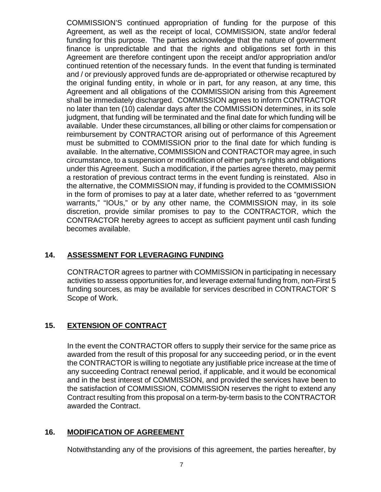COMMISSION'S continued appropriation of funding for the purpose of this Agreement, as well as the receipt of local, COMMISSION, state and/or federal funding for this purpose. The parties acknowledge that the nature of government finance is unpredictable and that the rights and obligations set forth in this Agreement are therefore contingent upon the receipt and/or appropriation and/or continued retention of the necessary funds. In the event that funding is terminated and / or previously approved funds are de-appropriated or otherwise recaptured by the original funding entity, in whole or in part, for any reason, at any time, this Agreement and all obligations of the COMMISSION arising from this Agreement shall be immediately discharged. COMMISSION agrees to inform CONTRACTOR no later than ten (10) calendar days after the COMMISSION determines, in its sole judgment, that funding will be terminated and the final date for which funding will be available. Under these circumstances, all billing or other claims for compensation or reimbursement by CONTRACTOR arising out of performance of this Agreement must be submitted to COMMISSION prior to the final date for which funding is available. In the alternative, COMMISSION and CONTRACTOR may agree, in such circumstance, to a suspension or modification of either party's rights and obligations under this Agreement. Such a modification, if the parties agree thereto, may permit a restoration of previous contract terms in the event funding is reinstated. Also in the alternative, the COMMISSION may, if funding is provided to the COMMISSION in the form of promises to pay at a later date, whether referred to as "government warrants," "IOUs," or by any other name, the COMMISSION may, in its sole discretion, provide similar promises to pay to the CONTRACTOR, which the CONTRACTOR hereby agrees to accept as sufficient payment until cash funding becomes available.

### **14. ASSESSMENT FOR LEVERAGING FUNDING**

CONTRACTOR agrees to partner with COMMISSION in participating in necessary activities to assess opportunities for, and leverage external funding from, non-First 5 funding sources, as may be available for services described in CONTRACTOR' S Scope of Work.

### **15. EXTENSION OF CONTRACT**

In the event the CONTRACTOR offers to supply their service for the same price as awarded from the result of this proposal for any succeeding period, or in the event the CONTRACTOR is willing to negotiate any justifiable price increase at the time of any succeeding Contract renewal period, if applicable, and it would be economical and in the best interest of COMMISSION, and provided the services have been to the satisfaction of COMMISSION, COMMISSION reserves the right to extend any Contract resulting from this proposal on a term-by-term basis to the CONTRACTOR awarded the Contract.

### **16. MODIFICATION OF AGREEMENT**

Notwithstanding any of the provisions of this agreement, the parties hereafter, by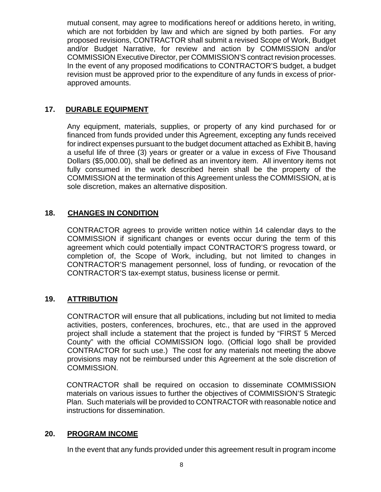mutual consent, may agree to modifications hereof or additions hereto, in writing, which are not forbidden by law and which are signed by both parties.For any proposed revisions, CONTRACTOR shall submit a revised Scope of Work, Budget and/or Budget Narrative, for review and action by COMMISSION and/or COMMISSION Executive Director, per COMMISSION'S contract revision processes. In the event of any proposed modifications to CONTRACTOR'S budget, a budget revision must be approved prior to the expenditure of any funds in excess of priorapproved amounts.

### **17. DURABLE EQUIPMENT**

Any equipment, materials, supplies, or property of any kind purchased for or financed from funds provided under this Agreement, excepting any funds received for indirect expenses pursuant to the budget document attached as Exhibit B, having a useful life of three (3) years or greater or a value in excess of Five Thousand Dollars (\$5,000.00), shall be defined as an inventory item. All inventory items not fully consumed in the work described herein shall be the property of the COMMISSION at the termination of this Agreement unless the COMMISSION, at is sole discretion, makes an alternative disposition.

### **18. CHANGES IN CONDITION**

CONTRACTOR agrees to provide written notice within 14 calendar days to the COMMISSION if significant changes or events occur during the term of this agreement which could potentially impact CONTRACTOR'S progress toward, or completion of, the Scope of Work, including, but not limited to changes in CONTRACTOR'S management personnel, loss of funding, or revocation of the CONTRACTOR'S tax-exempt status, business license or permit.

### **19. ATTRIBUTION**

CONTRACTOR will ensure that all publications, including but not limited to media activities, posters, conferences, brochures, etc., that are used in the approved project shall include a statement that the project is funded by "FIRST 5 Merced County" with the official COMMISSION logo. (Official logo shall be provided CONTRACTOR for such use.) The cost for any materials not meeting the above provisions may not be reimbursed under this Agreement at the sole discretion of COMMISSION.

CONTRACTOR shall be required on occasion to disseminate COMMISSION materials on various issues to further the objectives of COMMISSION'S Strategic Plan. Such materials will be provided to CONTRACTOR with reasonable notice and instructions for dissemination.

### **20. PROGRAM INCOME**

In the event that any funds provided under this agreement result in program income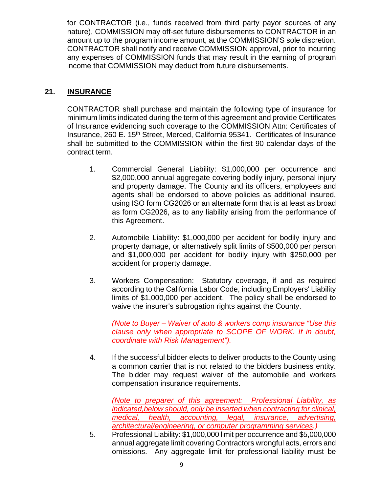for CONTRACTOR (i.e., funds received from third party payor sources of any nature), COMMISSION may off-set future disbursements to CONTRACTOR in an amount up to the program income amount, at the COMMISSION'S sole discretion. CONTRACTOR shall notify and receive COMMISSION approval, prior to incurring any expenses of COMMISSION funds that may result in the earning of program income that COMMISSION may deduct from future disbursements.

### **21. INSURANCE**

CONTRACTOR shall purchase and maintain the following type of insurance for minimum limits indicated during the term of this agreement and provide Certificates of Insurance evidencing such coverage to the COMMISSION Attn: Certificates of Insurance, 260 E. 15<sup>th</sup> Street, Merced, California 95341. Certificates of Insurance shall be submitted to the COMMISSION within the first 90 calendar days of the contract term.

- 1. Commercial General Liability: \$1,000,000 per occurrence and \$2,000,000 annual aggregate covering bodily injury, personal injury and property damage. The County and its officers, employees and agents shall be endorsed to above policies as additional insured, using ISO form CG2026 or an alternate form that is at least as broad as form CG2026, as to any liability arising from the performance of this Agreement.
- 2. Automobile Liability: \$1,000,000 per accident for bodily injury and property damage, or alternatively split limits of \$500,000 per person and \$1,000,000 per accident for bodily injury with \$250,000 per accident for property damage.
- 3. Workers Compensation: Statutory coverage, if and as required according to the California Labor Code, including Employers' Liability limits of \$1,000,000 per accident. The policy shall be endorsed to waive the insurer's subrogation rights against the County.

*(Note to Buyer – Waiver of auto & workers comp insurance "Use this clause only when appropriate to SCOPE OF WORK. If in doubt, coordinate with Risk Management").*

4. If the successful bidder elects to deliver products to the County using a common carrier that is not related to the bidders business entity. The bidder may request waiver of the automobile and workers compensation insurance requirements.

*(Note to preparer of this agreement: Professional Liability, as indicated,below should, only be inserted when contracting for clinical, medical, health, accounting, legal, insurance, advertising, architectural/engineering, or computer programming services.)*

5. Professional Liability: \$1,000,000 limit per occurrence and \$5,000,000 annual aggregate limit covering Contractors wrongful acts, errors and omissions. Any aggregate limit for professional liability must be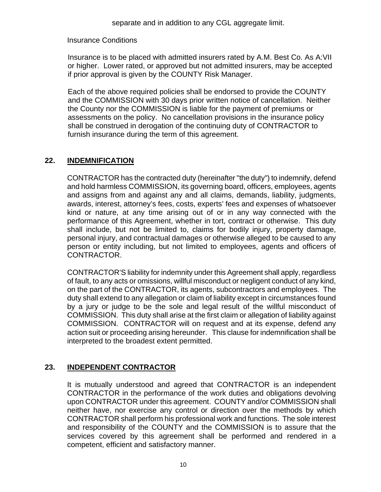### Insurance Conditions

 Insurance is to be placed with admitted insurers rated by A.M. Best Co. As A:VII or higher. Lower rated, or approved but not admitted insurers, may be accepted if prior approval is given by the COUNTY Risk Manager.

 Each of the above required policies shall be endorsed to provide the COUNTY and the COMMISSION with 30 days prior written notice of cancellation. Neither the County nor the COMMISSION is liable for the payment of premiums or assessments on the policy. No cancellation provisions in the insurance policy shall be construed in derogation of the continuing duty of CONTRACTOR to furnish insurance during the term of this agreement.

### **22. INDEMNIFICATION**

CONTRACTOR has the contracted duty (hereinafter "the duty") to indemnify, defend and hold harmless COMMISSION, its governing board, officers, employees, agents and assigns from and against any and all claims, demands, liability, judgments, awards, interest, attorney's fees, costs, experts' fees and expenses of whatsoever kind or nature, at any time arising out of or in any way connected with the performance of this Agreement, whether in tort, contract or otherwise. This duty shall include, but not be limited to, claims for bodily injury, property damage, personal injury, and contractual damages or otherwise alleged to be caused to any person or entity including, but not limited to employees, agents and officers of CONTRACTOR.

CONTRACTOR'S liability for indemnity under this Agreement shall apply, regardless of fault, to any acts or omissions, willful misconduct or negligent conduct of any kind, on the part of the CONTRACTOR, its agents, subcontractors and employees. The duty shall extend to any allegation or claim of liability except in circumstances found by a jury or judge to be the sole and legal result of the willful misconduct of COMMISSION. This duty shall arise at the first claim or allegation of liability against COMMISSION. CONTRACTOR will on request and at its expense, defend any action suit or proceeding arising hereunder. This clause for indemnification shall be interpreted to the broadest extent permitted.

### **23. INDEPENDENT CONTRACTOR**

It is mutually understood and agreed that CONTRACTOR is an independent CONTRACTOR in the performance of the work duties and obligations devolving upon CONTRACTOR under this agreement. COUNTY and/or COMMISSION shall neither have, nor exercise any control or direction over the methods by which CONTRACTOR shall perform his professional work and functions. The sole interest and responsibility of the COUNTY and the COMMISSION is to assure that the services covered by this agreement shall be performed and rendered in a competent, efficient and satisfactory manner.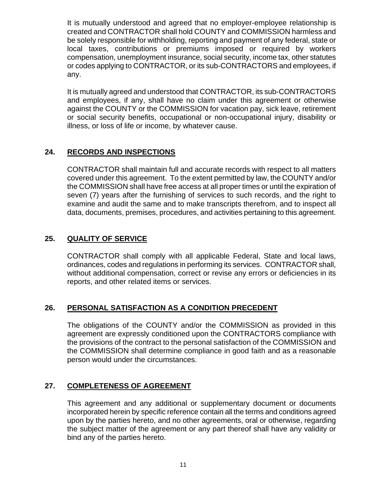It is mutually understood and agreed that no employer-employee relationship is created and CONTRACTOR shall hold COUNTY and COMMISSION harmless and be solely responsible for withholding, reporting and payment of any federal, state or local taxes, contributions or premiums imposed or required by workers compensation, unemployment insurance, social security, income tax, other statutes or codes applying to CONTRACTOR, or its sub-CONTRACTORS and employees, if any.

It is mutually agreed and understood that CONTRACTOR, its sub-CONTRACTORS and employees, if any, shall have no claim under this agreement or otherwise against the COUNTY or the COMMISSION for vacation pay, sick leave, retirement or social security benefits, occupational or non-occupational injury, disability or illness, or loss of life or income, by whatever cause.

### **24. RECORDS AND INSPECTIONS**

CONTRACTOR shall maintain full and accurate records with respect to all matters covered under this agreement. To the extent permitted by law, the COUNTY and/or the COMMISSION shall have free access at all proper times or until the expiration of seven (7) years after the furnishing of services to such records, and the right to examine and audit the same and to make transcripts therefrom, and to inspect all data, documents, premises, procedures, and activities pertaining to this agreement.

### **25. QUALITY OF SERVICE**

CONTRACTOR shall comply with all applicable Federal, State and local laws, ordinances, codes and regulations in performing its services. CONTRACTOR shall, without additional compensation, correct or revise any errors or deficiencies in its reports, and other related items or services.

### **26. PERSONAL SATISFACTION AS A CONDITION PRECEDENT**

The obligations of the COUNTY and/or the COMMISSION as provided in this agreement are expressly conditioned upon the CONTRACTORS compliance with the provisions of the contract to the personal satisfaction of the COMMISSION and the COMMISSION shall determine compliance in good faith and as a reasonable person would under the circumstances.

### **27. COMPLETENESS OF AGREEMENT**

This agreement and any additional or supplementary document or documents incorporated herein by specific reference contain all the terms and conditions agreed upon by the parties hereto, and no other agreements, oral or otherwise, regarding the subject matter of the agreement or any part thereof shall have any validity or bind any of the parties hereto.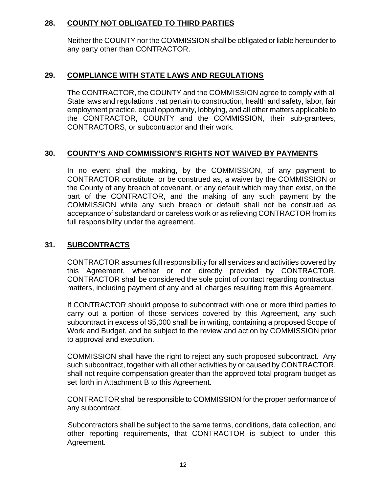### **28. COUNTY NOT OBLIGATED TO THIRD PARTIES**

Neither the COUNTY nor the COMMISSION shall be obligated or liable hereunder to any party other than CONTRACTOR.

### **29. COMPLIANCE WITH STATE LAWS AND REGULATIONS**

The CONTRACTOR, the COUNTY and the COMMISSION agree to comply with all State laws and regulations that pertain to construction, health and safety, labor, fair employment practice, equal opportunity, lobbying, and all other matters applicable to the CONTRACTOR, COUNTY and the COMMISSION, their sub-grantees, CONTRACTORS, or subcontractor and their work.

### **30. COUNTY'S AND COMMISSION'S RIGHTS NOT WAIVED BY PAYMENTS**

In no event shall the making, by the COMMISSION, of any payment to CONTRACTOR constitute, or be construed as, a waiver by the COMMISSION or the County of any breach of covenant, or any default which may then exist, on the part of the CONTRACTOR, and the making of any such payment by the COMMISSION while any such breach or default shall not be construed as acceptance of substandard or careless work or as relieving CONTRACTOR from its full responsibility under the agreement.

### **31. SUBCONTRACTS**

CONTRACTOR assumes full responsibility for all services and activities covered by this Agreement, whether or not directly provided by CONTRACTOR. CONTRACTOR shall be considered the sole point of contact regarding contractual matters, including payment of any and all charges resulting from this Agreement.

If CONTRACTOR should propose to subcontract with one or more third parties to carry out a portion of those services covered by this Agreement, any such subcontract in excess of \$5,000 shall be in writing, containing a proposed Scope of Work and Budget, and be subject to the review and action by COMMISSION prior to approval and execution.

COMMISSION shall have the right to reject any such proposed subcontract. Any such subcontract, together with all other activities by or caused by CONTRACTOR, shall not require compensation greater than the approved total program budget as set forth in Attachment B to this Agreement.

CONTRACTOR shall be responsible to COMMISSION for the proper performance of any subcontract.

 Subcontractors shall be subject to the same terms, conditions, data collection, and other reporting requirements, that CONTRACTOR is subject to under this Agreement.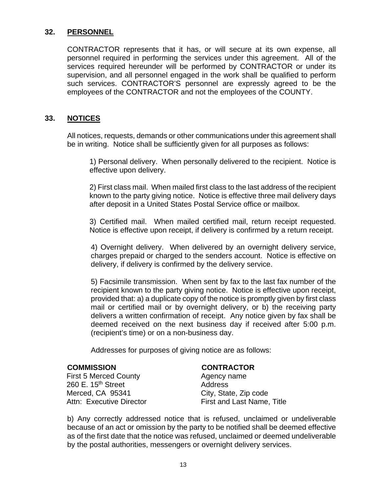### **32. PERSONNEL**

CONTRACTOR represents that it has, or will secure at its own expense, all personnel required in performing the services under this agreement. All of the services required hereunder will be performed by CONTRACTOR or under its supervision, and all personnel engaged in the work shall be qualified to perform such services. CONTRACTOR'S personnel are expressly agreed to be the employees of the CONTRACTOR and not the employees of the COUNTY.

### **33. NOTICES**

All notices, requests, demands or other communications under this agreement shall be in writing. Notice shall be sufficiently given for all purposes as follows:

1) Personal delivery. When personally delivered to the recipient. Notice is effective upon delivery.

2) First class mail. When mailed first class to the last address of the recipient known to the party giving notice. Notice is effective three mail delivery days after deposit in a United States Postal Service office or mailbox.

3) Certified mail. When mailed certified mail, return receipt requested. Notice is effective upon receipt, if delivery is confirmed by a return receipt.

4) Overnight delivery. When delivered by an overnight delivery service, charges prepaid or charged to the senders account. Notice is effective on delivery, if delivery is confirmed by the delivery service.

5) Facsimile transmission. When sent by fax to the last fax number of the recipient known to the party giving notice. Notice is effective upon receipt, provided that: a) a duplicate copy of the notice is promptly given by first class mail or certified mail or by overnight delivery, or b) the receiving party delivers a written confirmation of receipt. Any notice given by fax shall be deemed received on the next business day if received after 5:00 p.m. (recipient's time) or on a non-business day.

Addresses for purposes of giving notice are as follows:

First 5 Merced County **Agency name** 260 E. 15<sup>th</sup> Street Address

### **COMMISSION CONTRACTOR**

Merced, CA 95341 City, State, Zip code Attn: Executive Director First and Last Name, Title

b) Any correctly addressed notice that is refused, unclaimed or undeliverable because of an act or omission by the party to be notified shall be deemed effective as of the first date that the notice was refused, unclaimed or deemed undeliverable by the postal authorities, messengers or overnight delivery services.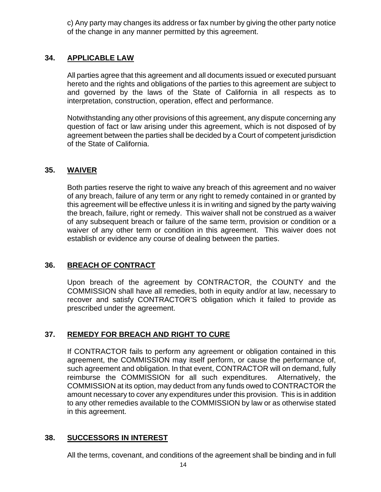c) Any party may changes its address or fax number by giving the other party notice of the change in any manner permitted by this agreement.

### **34. APPLICABLE LAW**

All parties agree that this agreement and all documents issued or executed pursuant hereto and the rights and obligations of the parties to this agreement are subject to and governed by the laws of the State of California in all respects as to interpretation, construction, operation, effect and performance.

Notwithstanding any other provisions of this agreement, any dispute concerning any question of fact or law arising under this agreement, which is not disposed of by agreement between the parties shall be decided by a Court of competent jurisdiction of the State of California.

### **35. WAIVER**

Both parties reserve the right to waive any breach of this agreement and no waiver of any breach, failure of any term or any right to remedy contained in or granted by this agreement will be effective unless it is in writing and signed by the party waiving the breach, failure, right or remedy. This waiver shall not be construed as a waiver of any subsequent breach or failure of the same term, provision or condition or a waiver of any other term or condition in this agreement. This waiver does not establish or evidence any course of dealing between the parties.

### **36. BREACH OF CONTRACT**

Upon breach of the agreement by CONTRACTOR, the COUNTY and the COMMISSION shall have all remedies, both in equity and/or at law, necessary to recover and satisfy CONTRACTOR'S obligation which it failed to provide as prescribed under the agreement.

### **37. REMEDY FOR BREACH AND RIGHT TO CURE**

If CONTRACTOR fails to perform any agreement or obligation contained in this agreement, the COMMISSION may itself perform, or cause the performance of, such agreement and obligation. In that event, CONTRACTOR will on demand, fully reimburse the COMMISSION for all such expenditures. Alternatively, the COMMISSION at its option, may deduct from any funds owed to CONTRACTOR the amount necessary to cover any expenditures under this provision. This is in addition to any other remedies available to the COMMISSION by law or as otherwise stated in this agreement.

### **38. SUCCESSORS IN INTEREST**

All the terms, covenant, and conditions of the agreement shall be binding and in full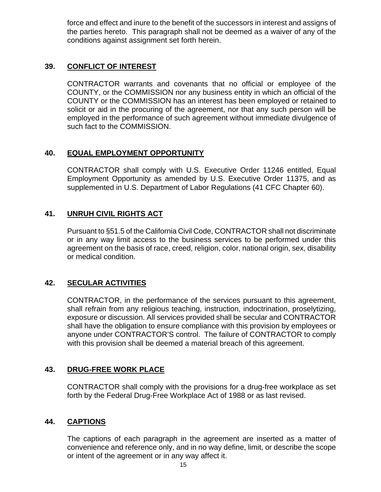force and effect and inure to the benefit of the successors in interest and assigns of the parties hereto. This paragraph shall not be deemed as a waiver of any of the conditions against assignment set forth herein.

### **39. CONFLICT OF INTEREST**

CONTRACTOR warrants and covenants that no official or employee of the COUNTY, or the COMMISSION nor any business entity in which an official of the COUNTY or the COMMISSION has an interest has been employed or retained to solicit or aid in the procuring of the agreement, nor that any such person will be employed in the performance of such agreement without immediate divulgence of such fact to the COMMISSION.

### **40. EQUAL EMPLOYMENT OPPORTUNITY**

CONTRACTOR shall comply with U.S. Executive Order 11246 entitled, Equal Employment Opportunity as amended by U.S. Executive Order 11375, and as supplemented in U.S. Department of Labor Regulations (41 CFC Chapter 60).

### **41. UNRUH CIVIL RIGHTS ACT**

Pursuant to §51.5 of the California Civil Code, CONTRACTOR shall not discriminate or in any way limit access to the business services to be performed under this agreement on the basis of race, creed, religion, color, national origin, sex, disability or medical condition.

### **42. SECULAR ACTIVITIES**

CONTRACTOR, in the performance of the services pursuant to this agreement, shall refrain from any religious teaching, instruction, indoctrination, proselytizing, exposure or discussion. All services provided shall be secular and CONTRACTOR shall have the obligation to ensure compliance with this provision by employees or anyone under CONTRACTOR'S control. The failure of CONTRACTOR to comply with this provision shall be deemed a material breach of this agreement.

### **43. DRUG-FREE WORK PLACE**

CONTRACTOR shall comply with the provisions for a drug-free workplace as set forth by the Federal Drug-Free Workplace Act of 1988 or as last revised.

### **44. CAPTIONS**

The captions of each paragraph in the agreement are inserted as a matter of convenience and reference only, and in no way define, limit, or describe the scope or intent of the agreement or in any way affect it.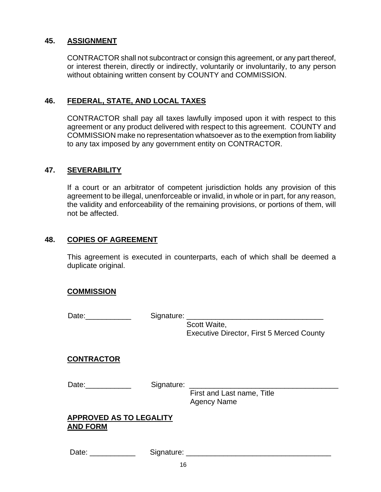### **45. ASSIGNMENT**

CONTRACTOR shall not subcontract or consign this agreement, or any part thereof, or interest therein, directly or indirectly, voluntarily or involuntarily, to any person without obtaining written consent by COUNTY and COMMISSION.

### **46. FEDERAL, STATE, AND LOCAL TAXES**

CONTRACTOR shall pay all taxes lawfully imposed upon it with respect to this agreement or any product delivered with respect to this agreement. COUNTY and COMMISSION make no representation whatsoever as to the exemption from liability to any tax imposed by any government entity on CONTRACTOR.

### **47. SEVERABILITY**

If a court or an arbitrator of competent jurisdiction holds any provision of this agreement to be illegal, unenforceable or invalid, in whole or in part, for any reason, the validity and enforceability of the remaining provisions, or portions of them, will not be affected.

### **48. COPIES OF AGREEMENT**

This agreement is executed in counterparts, each of which shall be deemed a duplicate original.

### **COMMISSION**

| Date:______________            |    | Signature: Signature:                            |
|--------------------------------|----|--------------------------------------------------|
|                                |    | Scott Waite,                                     |
|                                |    | <b>Executive Director, First 5 Merced County</b> |
|                                |    |                                                  |
| <b>CONTRACTOR</b>              |    |                                                  |
|                                |    |                                                  |
|                                |    |                                                  |
| Date: ______________           |    | Signature: Signature:                            |
|                                |    | First and Last name, Title                       |
|                                |    | <b>Agency Name</b>                               |
| <b>APPROVED AS TO LEGALITY</b> |    |                                                  |
| <b>AND FORM</b>                |    |                                                  |
|                                |    |                                                  |
|                                |    |                                                  |
| Date: $\sqrt{ }$               |    |                                                  |
|                                | 16 |                                                  |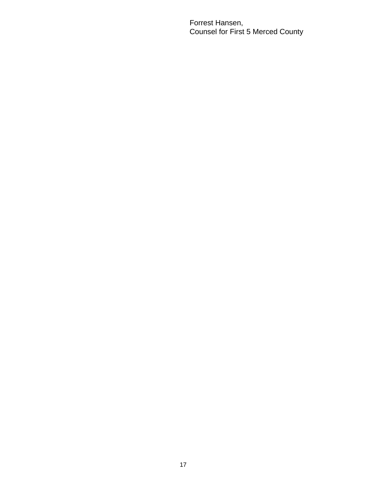Forrest Hansen, Counsel for First 5 Merced County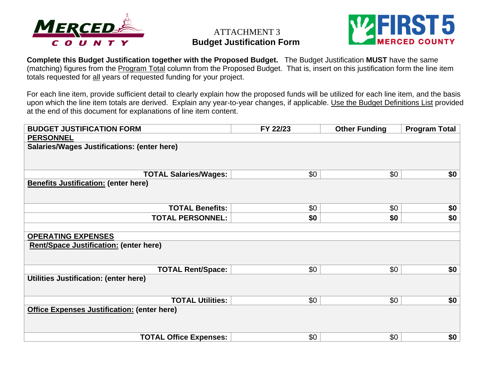

### ATTACHMENT 3 **Budget Justification Form**



**Complete this Budget Justification together with the Proposed Budget.** The Budget Justification **MUST** have the same (matching) figures from the Program Total column from the Proposed Budget. That is, insert on this justification form the line item totals requested for all years of requested funding for your project.

For each line item, provide sufficient detail to clearly explain how the proposed funds will be utilized for each line item, and the basis upon which the line item totals are derived. Explain any year-to-year changes, if applicable. Use the Budget Definitions List provided at the end of this document for explanations of line item content.

| <b>PERSONNEL</b><br><b>Salaries/Wages Justifications: (enter here)</b> |     |  |  |  |  |
|------------------------------------------------------------------------|-----|--|--|--|--|
|                                                                        |     |  |  |  |  |
|                                                                        |     |  |  |  |  |
|                                                                        |     |  |  |  |  |
|                                                                        |     |  |  |  |  |
| \$0<br>\$0<br><b>TOTAL Salaries/Wages:</b>                             | \$0 |  |  |  |  |
| <b>Benefits Justification: (enter here)</b>                            |     |  |  |  |  |
|                                                                        |     |  |  |  |  |
|                                                                        |     |  |  |  |  |
| \$0<br>\$0<br><b>TOTAL Benefits:</b>                                   | \$0 |  |  |  |  |
| \$0<br>\$0<br><b>TOTAL PERSONNEL:</b>                                  | \$0 |  |  |  |  |
|                                                                        |     |  |  |  |  |
| <b>OPERATING EXPENSES</b>                                              |     |  |  |  |  |
| <b>Rent/Space Justification: (enter here)</b>                          |     |  |  |  |  |
|                                                                        |     |  |  |  |  |
| <b>TOTAL Rent/Space:</b><br>\$0<br>\$0                                 | \$0 |  |  |  |  |
| <b>Utilities Justification: (enter here)</b>                           |     |  |  |  |  |
|                                                                        |     |  |  |  |  |
|                                                                        |     |  |  |  |  |
| \$0<br>\$0<br><b>TOTAL Utilities:</b>                                  | \$0 |  |  |  |  |
| <b>Office Expenses Justification: (enter here)</b>                     |     |  |  |  |  |
|                                                                        |     |  |  |  |  |
|                                                                        |     |  |  |  |  |
| \$0<br><b>TOTAL Office Expenses:</b><br>\$0                            | \$0 |  |  |  |  |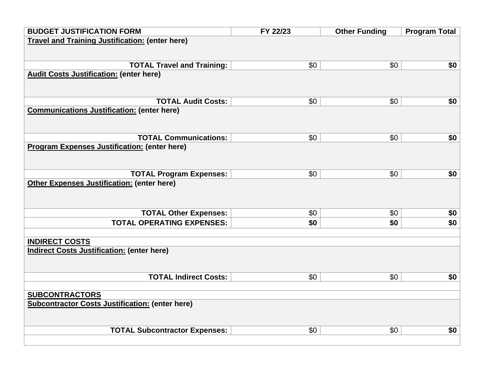| <b>BUDGET JUSTIFICATION FORM</b>                                                | FY 22/23 | <b>Other Funding</b> | <b>Program Total</b> |  |  |
|---------------------------------------------------------------------------------|----------|----------------------|----------------------|--|--|
| <b>Travel and Training Justification: (enter here)</b>                          |          |                      |                      |  |  |
|                                                                                 |          |                      |                      |  |  |
| <b>TOTAL Travel and Training:</b>                                               | \$0      | \$0                  | \$0                  |  |  |
| <b>Audit Costs Justification: (enter here)</b>                                  |          |                      |                      |  |  |
|                                                                                 |          |                      |                      |  |  |
|                                                                                 |          |                      |                      |  |  |
| <b>TOTAL Audit Costs:</b>                                                       | \$0      | \$0                  | \$0                  |  |  |
| <b>Communications Justification: (enter here)</b>                               |          |                      |                      |  |  |
|                                                                                 |          |                      |                      |  |  |
|                                                                                 |          |                      |                      |  |  |
| <b>TOTAL Communications:</b>                                                    | \$0      | \$0                  | \$0                  |  |  |
| <b>Program Expenses Justification: (enter here)</b>                             |          |                      |                      |  |  |
|                                                                                 |          |                      |                      |  |  |
| <b>TOTAL Program Expenses:</b>                                                  | \$0      | \$0                  | \$0                  |  |  |
| <b>Other Expenses Justification: (enter here)</b>                               |          |                      |                      |  |  |
|                                                                                 |          |                      |                      |  |  |
|                                                                                 |          |                      |                      |  |  |
| <b>TOTAL Other Expenses:</b>                                                    | \$0      | \$0                  | \$0                  |  |  |
| <b>TOTAL OPERATING EXPENSES:</b>                                                | \$0      | \$0                  | \$0                  |  |  |
|                                                                                 |          |                      |                      |  |  |
| <b>INDIRECT COSTS</b>                                                           |          |                      |                      |  |  |
| <b>Indirect Costs Justification: (enter here)</b>                               |          |                      |                      |  |  |
|                                                                                 |          |                      |                      |  |  |
|                                                                                 |          |                      |                      |  |  |
| <b>TOTAL Indirect Costs:</b>                                                    | \$0      | \$0                  | \$0                  |  |  |
|                                                                                 |          |                      |                      |  |  |
| <b>SUBCONTRACTORS</b><br><b>Subcontractor Costs Justification: (enter here)</b> |          |                      |                      |  |  |
|                                                                                 |          |                      |                      |  |  |
|                                                                                 |          |                      |                      |  |  |
| <b>TOTAL Subcontractor Expenses:</b>                                            | \$0      | \$0                  | \$0                  |  |  |
|                                                                                 |          |                      |                      |  |  |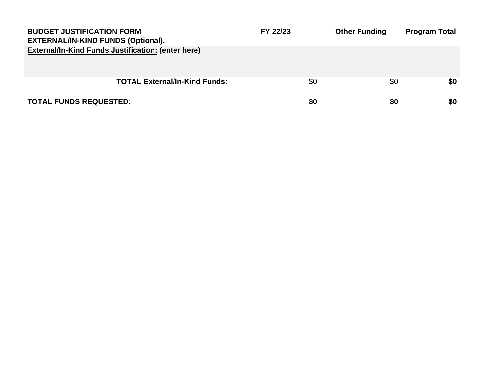| <b>BUDGET JUSTIFICATION FORM</b>                   | FY 22/23 | <b>Other Funding</b> | <b>Program Total</b> |
|----------------------------------------------------|----------|----------------------|----------------------|
| <b>EXTERNAL/IN-KIND FUNDS (Optional).</b>          |          |                      |                      |
| External/In-Kind Funds Justification: (enter here) |          |                      |                      |
|                                                    |          |                      |                      |
|                                                    |          |                      |                      |
| <b>TOTAL External/In-Kind Funds:</b>               | \$0      | \$0                  | \$0                  |
|                                                    |          |                      |                      |
| <b>TOTAL FUNDS REQUESTED:</b>                      | \$0      | \$0                  | \$0                  |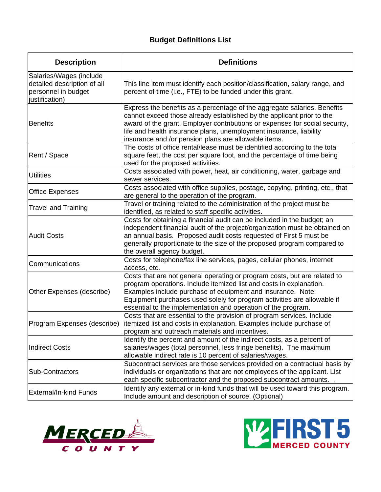### **Budget Definitions List**

| <b>Description</b>                                                                              | <b>Definitions</b>                                                                                                                                                                                                                                                                                                                                             |  |  |  |
|-------------------------------------------------------------------------------------------------|----------------------------------------------------------------------------------------------------------------------------------------------------------------------------------------------------------------------------------------------------------------------------------------------------------------------------------------------------------------|--|--|--|
| Salaries/Wages (include<br>detailed description of all<br>personnel in budget<br>justification) | This line item must identify each position/classification, salary range, and<br>percent of time (i.e., FTE) to be funded under this grant.                                                                                                                                                                                                                     |  |  |  |
| Benefits                                                                                        | Express the benefits as a percentage of the aggregate salaries. Benefits<br>cannot exceed those already established by the applicant prior to the<br>award of the grant. Employer contributions or expenses for social security,<br>life and health insurance plans, unemployment insurance, liability<br>insurance and /or pension plans are allowable items. |  |  |  |
| Rent / Space                                                                                    | The costs of office rental/lease must be identified according to the total<br>square feet, the cost per square foot, and the percentage of time being<br>used for the proposed activities.                                                                                                                                                                     |  |  |  |
| <b>Utilities</b>                                                                                | Costs associated with power, heat, air conditioning, water, garbage and<br>sewer services.                                                                                                                                                                                                                                                                     |  |  |  |
| <b>Office Expenses</b>                                                                          | Costs associated with office supplies, postage, copying, printing, etc., that<br>are general to the operation of the program.                                                                                                                                                                                                                                  |  |  |  |
| <b>Travel and Training</b>                                                                      | Travel or training related to the administration of the project must be<br>identified, as related to staff specific activities.                                                                                                                                                                                                                                |  |  |  |
| <b>Audit Costs</b>                                                                              | Costs for obtaining a financial audit can be included in the budget; an<br>independent financial audit of the project/organization must be obtained on<br>an annual basis. Proposed audit costs requested of First 5 must be<br>generally proportionate to the size of the proposed program compared to<br>the overall agency budget.                          |  |  |  |
| Communications                                                                                  | Costs for telephone/fax line services, pages, cellular phones, internet<br>access, etc.                                                                                                                                                                                                                                                                        |  |  |  |
| Other Expenses (describe)                                                                       | Costs that are not general operating or program costs, but are related to<br>program operations. Include itemized list and costs in explanation.<br>Examples include purchase of equipment and insurance. Note:<br>Equipment purchases used solely for program activities are allowable if<br>essential to the implementation and operation of the program.    |  |  |  |
| Program Expenses (describe)                                                                     | Costs that are essential to the provision of program services. Include<br>itemized list and costs in explanation. Examples include purchase of<br>program and outreach materials and incentives.                                                                                                                                                               |  |  |  |
| <b>Indirect Costs</b>                                                                           | Identify the percent and amount of the indirect costs, as a percent of<br>salaries/wages (total personnel, less fringe benefits). The maximum<br>allowable indirect rate is 10 percent of salaries/wages.                                                                                                                                                      |  |  |  |
| Sub-Contractors                                                                                 | Subcontract services are those services provided on a contractual basis by<br>individuals or organizations that are not employees of the applicant. List<br>each specific subcontractor and the proposed subcontract amounts. .                                                                                                                                |  |  |  |
| <b>External/In-kind Funds</b>                                                                   | Identify any external or in-kind funds that will be used toward this program.<br>Include amount and description of source. (Optional)                                                                                                                                                                                                                          |  |  |  |



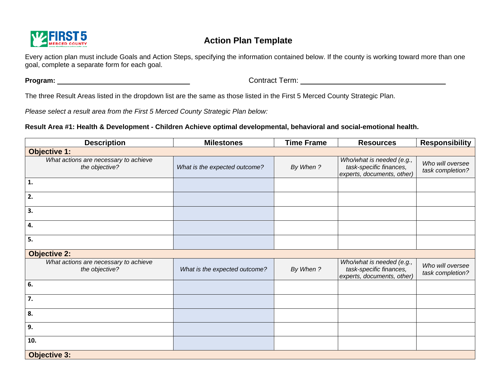

### **Action Plan Template**

Every action plan must include Goals and Action Steps, specifying the information contained below. If the county is working toward more than one goal, complete a separate form for each goal.

**Program:** \_\_\_\_\_\_\_\_\_\_\_\_\_\_\_\_\_\_\_\_\_\_\_\_\_\_\_\_\_\_\_\_ Contract Term: \_\_\_\_\_\_\_\_\_\_\_\_\_\_\_\_\_\_\_\_\_\_\_\_\_\_\_\_\_\_\_\_\_\_\_

The three Result Areas listed in the dropdown list are the same as those listed in the First 5 Merced County Strategic Plan.

*Please select a result area from the First 5 Merced County Strategic Plan below:*

### **Result Area #1: Health & Development - Children Achieve optimal developmental, behavioral and social-emotional health.**

| <b>Description</b>                                      | <b>Milestones</b>             | <b>Time Frame</b> | <b>Resources</b>                                                                   | <b>Responsibility</b>                |  |
|---------------------------------------------------------|-------------------------------|-------------------|------------------------------------------------------------------------------------|--------------------------------------|--|
| <b>Objective 1:</b>                                     |                               |                   |                                                                                    |                                      |  |
| What actions are necessary to achieve<br>the objective? | What is the expected outcome? | By When?          | Who/what is needed (e.g.,<br>task-specific finances,<br>experts, documents, other) | Who will oversee<br>task completion? |  |
| 1.                                                      |                               |                   |                                                                                    |                                      |  |
| 2.                                                      |                               |                   |                                                                                    |                                      |  |
| 3.                                                      |                               |                   |                                                                                    |                                      |  |
| 4.                                                      |                               |                   |                                                                                    |                                      |  |
| 5.                                                      |                               |                   |                                                                                    |                                      |  |
| <b>Objective 2:</b>                                     |                               |                   |                                                                                    |                                      |  |
| What actions are necessary to achieve<br>the objective? | What is the expected outcome? | By When?          | Who/what is needed (e.g.,<br>task-specific finances,<br>experts, documents, other) | Who will oversee<br>task completion? |  |
| 6.                                                      |                               |                   |                                                                                    |                                      |  |
| 7.                                                      |                               |                   |                                                                                    |                                      |  |
| 8.                                                      |                               |                   |                                                                                    |                                      |  |
| 9.                                                      |                               |                   |                                                                                    |                                      |  |
| 10.                                                     |                               |                   |                                                                                    |                                      |  |
| <b>Objective 3:</b>                                     |                               |                   |                                                                                    |                                      |  |